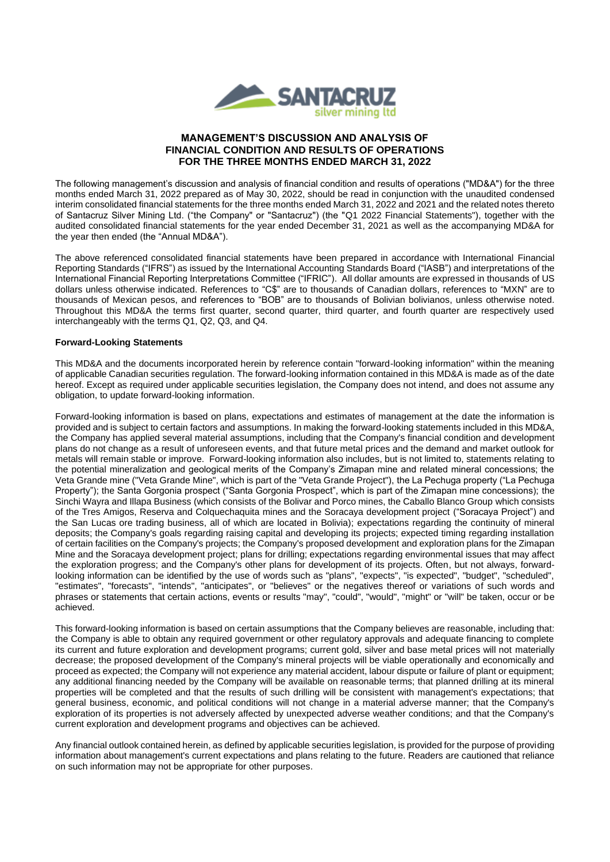

# **MANAGEMENT'S DISCUSSION AND ANALYSIS OF FINANCIAL CONDITION AND RESULTS OF OPERATIONS FOR THE THREE MONTHS ENDED MARCH 31, 2022**

The following management's discussion and analysis of financial condition and results of operations ("MD&A") for the three months ended March 31, 2022 prepared as of May 30, 2022, should be read in conjunction with the unaudited condensed interim consolidated financial statements for the three months ended March 31, 2022 and 2021 and the related notes thereto of Santacruz Silver Mining Ltd. ("the Company" or "Santacruz") (the "Q1 2022 Financial Statements"), together with the audited consolidated financial statements for the year ended December 31, 2021 as well as the accompanying MD&A for the year then ended (the "Annual MD&A").

The above referenced consolidated financial statements have been prepared in accordance with International Financial Reporting Standards ("IFRS") as issued by the International Accounting Standards Board ("IASB") and interpretations of the International Financial Reporting Interpretations Committee ("IFRIC"). All dollar amounts are expressed in thousands of US dollars unless otherwise indicated. References to "C\$" are to thousands of Canadian dollars, references to "MXN" are to thousands of Mexican pesos, and references to "BOB" are to thousands of Bolivian bolivianos, unless otherwise noted. Throughout this MD&A the terms first quarter, second quarter, third quarter, and fourth quarter are respectively used interchangeably with the terms Q1, Q2, Q3, and Q4.

# **Forward-Looking Statements**

This MD&A and the documents incorporated herein by reference contain "forward-looking information" within the meaning of applicable Canadian securities regulation. The forward-looking information contained in this MD&A is made as of the date hereof. Except as required under applicable securities legislation, the Company does not intend, and does not assume any obligation, to update forward-looking information.

Forward-looking information is based on plans, expectations and estimates of management at the date the information is provided and is subject to certain factors and assumptions. In making the forward-looking statements included in this MD&A, the Company has applied several material assumptions, including that the Company's financial condition and development plans do not change as a result of unforeseen events, and that future metal prices and the demand and market outlook for metals will remain stable or improve. Forward-looking information also includes, but is not limited to, statements relating to the potential mineralization and geological merits of the Company's Zimapan mine and related mineral concessions; the Veta Grande mine ("Veta Grande Mine", which is part of the "Veta Grande Project"), the La Pechuga property ("La Pechuga Property"); the Santa Gorgonia prospect ("Santa Gorgonia Prospect", which is part of the Zimapan mine concessions); the Sinchi Wayra and Illapa Business (which consists of the Bolivar and Porco mines, the Caballo Blanco Group which consists of the Tres Amigos, Reserva and Colquechaquita mines and the Soracaya development project ("Soracaya Project") and the San Lucas ore trading business, all of which are located in Bolivia); expectations regarding the continuity of mineral deposits; the Company's goals regarding raising capital and developing its projects; expected timing regarding installation of certain facilities on the Company's projects; the Company's proposed development and exploration plans for the Zimapan Mine and the Soracaya development project; plans for drilling; expectations regarding environmental issues that may affect the exploration progress; and the Company's other plans for development of its projects. Often, but not always, forwardlooking information can be identified by the use of words such as "plans", "expects", "is expected", "budget", "scheduled", "estimates", "forecasts", "intends", "anticipates", or "believes" or the negatives thereof or variations of such words and phrases or statements that certain actions, events or results "may", "could", "would", "might" or "will" be taken, occur or be achieved.

This forward-looking information is based on certain assumptions that the Company believes are reasonable, including that: the Company is able to obtain any required government or other regulatory approvals and adequate financing to complete its current and future exploration and development programs; current gold, silver and base metal prices will not materially decrease; the proposed development of the Company's mineral projects will be viable operationally and economically and proceed as expected; the Company will not experience any material accident, labour dispute or failure of plant or equipment; any additional financing needed by the Company will be available on reasonable terms; that planned drilling at its mineral properties will be completed and that the results of such drilling will be consistent with management's expectations; that general business, economic, and political conditions will not change in a material adverse manner; that the Company's exploration of its properties is not adversely affected by unexpected adverse weather conditions; and that the Company's current exploration and development programs and objectives can be achieved.

Any financial outlook contained herein, as defined by applicable securities legislation, is provided for the purpose of providing information about management's current expectations and plans relating to the future. Readers are cautioned that reliance on such information may not be appropriate for other purposes.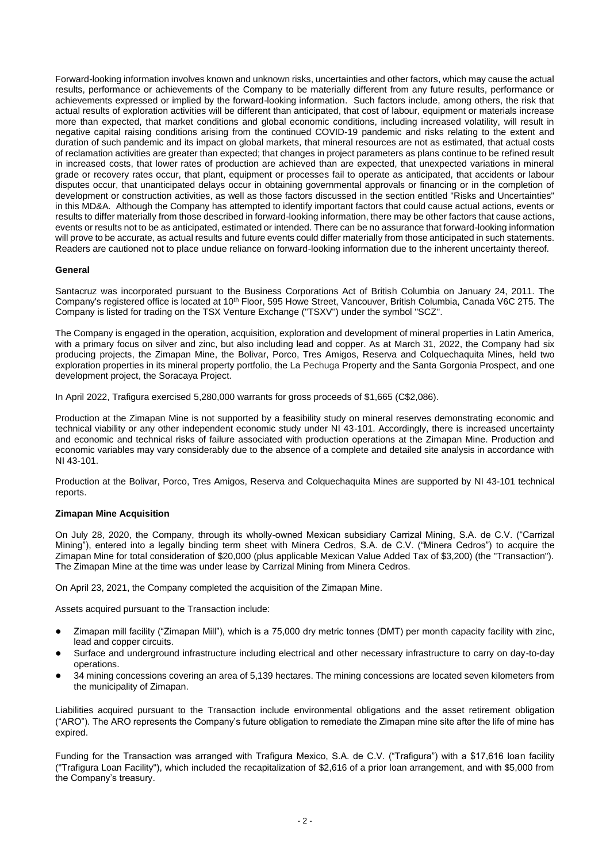Forward-looking information involves known and unknown risks, uncertainties and other factors, which may cause the actual results, performance or achievements of the Company to be materially different from any future results, performance or achievements expressed or implied by the forward-looking information. Such factors include, among others, the risk that actual results of exploration activities will be different than anticipated, that cost of labour, equipment or materials increase more than expected, that market conditions and global economic conditions, including increased volatility, will result in negative capital raising conditions arising from the continued COVID-19 pandemic and risks relating to the extent and duration of such pandemic and its impact on global markets*,* that mineral resources are not as estimated, that actual costs of reclamation activities are greater than expected; that changes in project parameters as plans continue to be refined result in increased costs, that lower rates of production are achieved than are expected, that unexpected variations in mineral grade or recovery rates occur, that plant, equipment or processes fail to operate as anticipated, that accidents or labour disputes occur, that unanticipated delays occur in obtaining governmental approvals or financing or in the completion of development or construction activities, as well as those factors discussed in the section entitled "Risks and Uncertainties" in this MD&A*.* Although the Company has attempted to identify important factors that could cause actual actions, events or results to differ materially from those described in forward-looking information, there may be other factors that cause actions, events or results not to be as anticipated, estimated or intended. There can be no assurance that forward-looking information will prove to be accurate, as actual results and future events could differ materially from those anticipated in such statements. Readers are cautioned not to place undue reliance on forward-looking information due to the inherent uncertainty thereof.

## **General**

Santacruz was incorporated pursuant to the Business Corporations Act of British Columbia on January 24, 2011. The Company's registered office is located at 10<sup>th</sup> Floor, 595 Howe Street, Vancouver, British Columbia, Canada V6C 2T5. The Company is listed for trading on the TSX Venture Exchange (''TSXV'') under the symbol ''SCZ''.

The Company is engaged in the operation, acquisition, exploration and development of mineral properties in Latin America, with a primary focus on silver and zinc, but also including lead and copper. As at March 31, 2022, the Company had six producing projects, the Zimapan Mine, the Bolivar, Porco, Tres Amigos, Reserva and Colquechaquita Mines, held two exploration properties in its mineral property portfolio, the La Pechuga Property and the Santa Gorgonia Prospect, and one development project, the Soracaya Project.

In April 2022, Trafigura exercised 5,280,000 warrants for gross proceeds of \$1,665 (C\$2,086).

Production at the Zimapan Mine is not supported by a feasibility study on mineral reserves demonstrating economic and technical viability or any other independent economic study under NI 43-101. Accordingly, there is increased uncertainty and economic and technical risks of failure associated with production operations at the Zimapan Mine. Production and economic variables may vary considerably due to the absence of a complete and detailed site analysis in accordance with NI 43-101.

Production at the Bolivar, Porco, Tres Amigos, Reserva and Colquechaquita Mines are supported by NI 43-101 technical reports.

### **Zimapan Mine Acquisition**

On July 28, 2020, the Company, through its wholly-owned Mexican subsidiary Carrizal Mining, S.A. de C.V. ("Carrizal Mining"), entered into a legally binding term sheet with Minera Cedros, S.A. de C.V. ("Minera Cedros") to acquire the Zimapan Mine for total consideration of \$20,000 (plus applicable Mexican Value Added Tax of \$3,200) (the "Transaction"). The Zimapan Mine at the time was under lease by Carrizal Mining from Minera Cedros.

On April 23, 2021, the Company completed the acquisition of the Zimapan Mine.

Assets acquired pursuant to the Transaction include:

- Zimapan mill facility ("Zimapan Mill"), which is a 75,000 dry metric tonnes (DMT) per month capacity facility with zinc, lead and copper circuits.
- Surface and underground infrastructure including electrical and other necessary infrastructure to carry on day-to-day operations.
- 34 mining concessions covering an area of 5,139 hectares. The mining concessions are located seven kilometers from the municipality of Zimapan.

Liabilities acquired pursuant to the Transaction include environmental obligations and the asset retirement obligation ("ARO"). The ARO represents the Company's future obligation to remediate the Zimapan mine site after the life of mine has expired.

Funding for the Transaction was arranged with Trafigura Mexico, S.A. de C.V. ("Trafigura") with a \$17,616 loan facility ("Trafigura Loan Facility"), which included the recapitalization of \$2,616 of a prior loan arrangement, and with \$5,000 from the Company's treasury.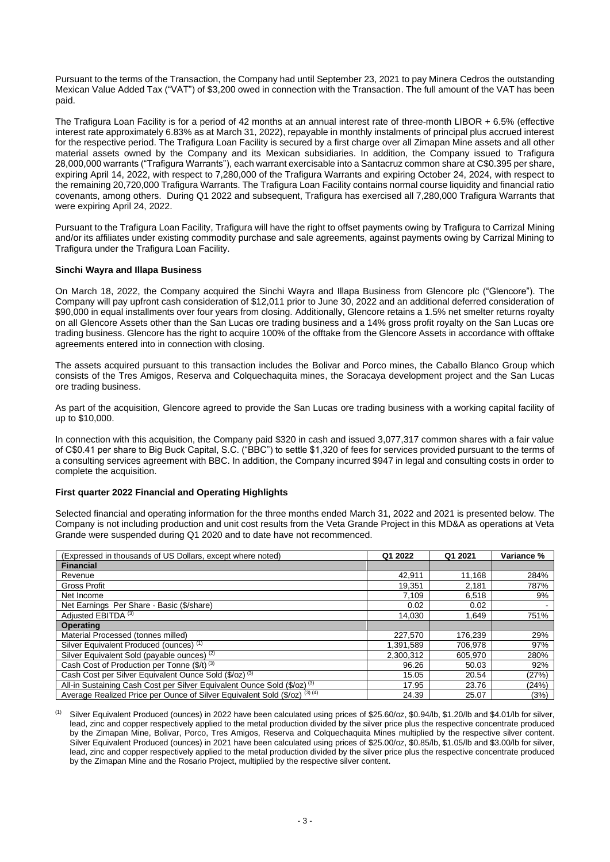Pursuant to the terms of the Transaction, the Company had until September 23, 2021 to pay Minera Cedros the outstanding Mexican Value Added Tax ("VAT") of \$3,200 owed in connection with the Transaction. The full amount of the VAT has been paid.

The Trafigura Loan Facility is for a period of 42 months at an annual interest rate of three-month LIBOR + 6.5% (effective interest rate approximately 6.83% as at March 31, 2022), repayable in monthly instalments of principal plus accrued interest for the respective period. The Trafigura Loan Facility is secured by a first charge over all Zimapan Mine assets and all other material assets owned by the Company and its Mexican subsidiaries. In addition, the Company issued to Trafigura 28,000,000 warrants ("Trafigura Warrants"), each warrant exercisable into a Santacruz common share at C\$0.395 per share, expiring April 14, 2022, with respect to 7,280,000 of the Trafigura Warrants and expiring October 24, 2024, with respect to the remaining 20,720,000 Trafigura Warrants. The Trafigura Loan Facility contains normal course liquidity and financial ratio covenants, among others. During Q1 2022 and subsequent, Trafigura has exercised all 7,280,000 Trafigura Warrants that were expiring April 24, 2022.

Pursuant to the Trafigura Loan Facility, Trafigura will have the right to offset payments owing by Trafigura to Carrizal Mining and/or its affiliates under existing commodity purchase and sale agreements, against payments owing by Carrizal Mining to Trafigura under the Trafigura Loan Facility.

## **Sinchi Wayra and Illapa Business**

On March 18, 2022, the Company acquired the Sinchi Wayra and Illapa Business from Glencore plc ("Glencore"). The Company will pay upfront cash consideration of \$12,011 prior to June 30, 2022 and an additional deferred consideration of \$90,000 in equal installments over four years from closing. Additionally, Glencore retains a 1.5% net smelter returns royalty on all Glencore Assets other than the San Lucas ore trading business and a 14% gross profit royalty on the San Lucas ore trading business. Glencore has the right to acquire 100% of the offtake from the Glencore Assets in accordance with offtake agreements entered into in connection with closing.

The assets acquired pursuant to this transaction includes the Bolivar and Porco mines, the Caballo Blanco Group which consists of the Tres Amigos, Reserva and Colquechaquita mines, the Soracaya development project and the San Lucas ore trading business.

As part of the acquisition, Glencore agreed to provide the San Lucas ore trading business with a working capital facility of up to \$10,000.

In connection with this acquisition, the Company paid \$320 in cash and issued 3,077,317 common shares with a fair value of C\$0.41 per share to Big Buck Capital, S.C. ("BBC") to settle \$1,320 of fees for services provided pursuant to the terms of a consulting services agreement with BBC. In addition, the Company incurred \$947 in legal and consulting costs in order to complete the acquisition.

### **First quarter 2022 Financial and Operating Highlights**

Selected financial and operating information for the three months ended March 31, 2022 and 2021 is presented below. The Company is not including production and unit cost results from the Veta Grande Project in this MD&A as operations at Veta Grande were suspended during Q1 2020 and to date have not recommenced.

| (Expressed in thousands of US Dollars, except where noted)                          | Q1 2022   | Q1 2021 | Variance % |
|-------------------------------------------------------------------------------------|-----------|---------|------------|
| <b>Financial</b>                                                                    |           |         |            |
| Revenue                                                                             | 42,911    | 11,168  | 284%       |
| <b>Gross Profit</b>                                                                 | 19,351    | 2,181   | 787%       |
| Net Income                                                                          | 7,109     | 6,518   | 9%         |
| Net Earnings Per Share - Basic (\$/share)                                           | 0.02      | 0.02    |            |
| Adjusted EBITDA <sup>(3)</sup>                                                      | 14.030    | 1.649   | 751%       |
| <b>Operating</b>                                                                    |           |         |            |
| Material Processed (tonnes milled)                                                  | 227.570   | 176,239 | 29%        |
| Silver Equivalent Produced (ounces) (1)                                             | 1.391.589 | 706.978 | 97%        |
| Silver Equivalent Sold (payable ounces) <sup>(2)</sup>                              | 2,300,312 | 605.970 | 280%       |
| Cash Cost of Production per Tonne (\$/t) (3)                                        | 96.26     | 50.03   | 92%        |
| Cash Cost per Silver Equivalent Ounce Sold (\$/oz) <sup>(3)</sup>                   | 15.05     | 20.54   | (27%)      |
| All-in Sustaining Cash Cost per Silver Equivalent Ounce Sold (\$/oz) <sup>(3)</sup> | 17.95     | 23.76   | (24%)      |
| Average Realized Price per Ounce of Silver Equivalent Sold (\$/oz) (3) (4)          | 24.39     | 25.07   | (3%)       |

Silver Equivalent Produced (ounces) in 2022 have been calculated using prices of \$25.60/oz, \$0.94/lb, \$1.20/lb and \$4.01/lb for silver, lead, zinc and copper respectively applied to the metal production divided by the silver price plus the respective concentrate produced by the Zimapan Mine, Bolivar, Porco, Tres Amigos, Reserva and Colquechaquita Mines multiplied by the respective silver content. Silver Equivalent Produced (ounces) in 2021 have been calculated using prices of \$25.00/oz, \$0.85/lb, \$1.05/lb and \$3.00/lb for silver, lead, zinc and copper respectively applied to the metal production divided by the silver price plus the respective concentrate produced by the Zimapan Mine and the Rosario Project, multiplied by the respective silver content.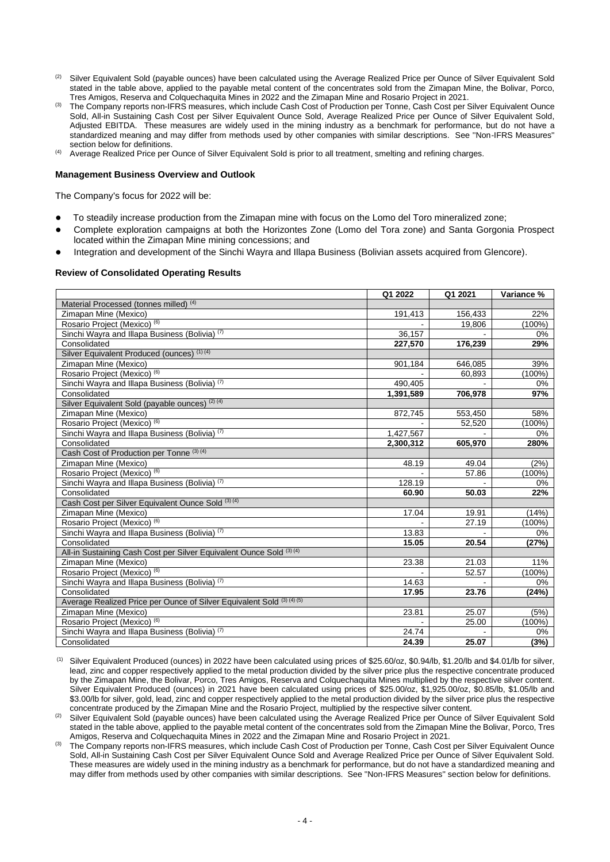- (2) Silver Equivalent Sold (payable ounces) have been calculated using the Average Realized Price per Ounce of Silver Equivalent Sold stated in the table above, applied to the payable metal content of the concentrates sold from the Zimapan Mine, the Bolivar, Porco, Tres Amigos, Reserva and Colquechaquita Mines in 2022 and the Zimapan Mine and Rosario Project in 2021.
- The Company reports non-IFRS measures, which include Cash Cost of Production per Tonne, Cash Cost per Silver Equivalent Ounce Sold, All-in Sustaining Cash Cost per Silver Equivalent Ounce Sold, Average Realized Price per Ounce of Silver Equivalent Sold, Adjusted EBITDA. These measures are widely used in the mining industry as a benchmark for performance, but do not have a standardized meaning and may differ from methods used by other companies with similar descriptions. See ''Non-IFRS Measures'' section below for definitions.
- (4) Average Realized Price per Ounce of Silver Equivalent Sold is prior to all treatment, smelting and refining charges.

#### **Management Business Overview and Outlook**

The Company's focus for 2022 will be:

- To steadily increase production from the Zimapan mine with focus on the Lomo del Toro mineralized zone;
- Complete exploration campaigns at both the Horizontes Zone (Lomo del Tora zone) and Santa Gorgonia Prospect located within the Zimapan Mine mining concessions; and
- Integration and development of the Sinchi Wayra and Illapa Business (Bolivian assets acquired from Glencore).

#### **Review of Consolidated Operating Results**

|                                                                        | Q1 2022   | Q1 2021 | Variance % |
|------------------------------------------------------------------------|-----------|---------|------------|
| Material Processed (tonnes milled) (4)                                 |           |         |            |
| Zimapan Mine (Mexico)                                                  | 191,413   | 156,433 | 22%        |
| Rosario Project (Mexico) (6)                                           |           | 19.806  | $(100\%)$  |
| Sinchi Wayra and Illapa Business (Bolivia) (7)                         | 36,157    |         | 0%         |
| Consolidated                                                           | 227,570   | 176,239 | 29%        |
| Silver Equivalent Produced (ounces) (1) (4)                            |           |         |            |
| Zimapan Mine (Mexico)                                                  | 901,184   | 646,085 | 39%        |
| Rosario Project (Mexico) (6)                                           |           | 60,893  | $(100\%)$  |
| Sinchi Wayra and Illapa Business (Bolivia) (7)                         | 490,405   |         | 0%         |
| Consolidated                                                           | 1,391,589 | 706,978 | 97%        |
| Silver Equivalent Sold (payable ounces) <sup>(2)(4)</sup>              |           |         |            |
| Zimapan Mine (Mexico)                                                  | 872,745   | 553,450 | 58%        |
| Rosario Project (Mexico) (6)                                           |           | 52,520  | $(100\%)$  |
| Sinchi Wayra and Illapa Business (Bolivia) <sup>(7)</sup>              | 1,427,567 |         | $0\%$      |
| Consolidated                                                           | 2,300,312 | 605,970 | 280%       |
| Cash Cost of Production per Tonne (3) (4)                              |           |         |            |
| Zimapan Mine (Mexico)                                                  | 48.19     | 49.04   | (2%)       |
| Rosario Project (Mexico) (6)                                           |           | 57.86   | $(100\%)$  |
| Sinchi Wayra and Illapa Business (Bolivia) (7)                         | 128.19    |         | $0\%$      |
| Consolidated                                                           | 60.90     | 50.03   | 22%        |
| Cash Cost per Silver Equivalent Ounce Sold (3) (4)                     |           |         |            |
| Zimapan Mine (Mexico)                                                  | 17.04     | 19.91   | (14%)      |
| Rosario Project (Mexico) <sup>(6)</sup>                                |           | 27.19   | $(100\%)$  |
| Sinchi Wayra and Illapa Business (Bolivia) (7)                         | 13.83     |         | $0\%$      |
| Consolidated                                                           | 15.05     | 20.54   | (27%)      |
| All-in Sustaining Cash Cost per Silver Equivalent Ounce Sold (3) (4)   |           |         |            |
| Zimapan Mine (Mexico)                                                  | 23.38     | 21.03   | 11%        |
| Rosario Project (Mexico) (6)                                           |           | 52.57   | $(100\%)$  |
| Sinchi Wayra and Illapa Business (Bolivia) (7)                         | 14.63     |         | 0%         |
| Consolidated                                                           | 17.95     | 23.76   | (24%)      |
| Average Realized Price per Ounce of Silver Equivalent Sold (3) (4) (5) |           |         |            |
| Zimapan Mine (Mexico)                                                  | 23.81     | 25.07   | (5%)       |
| Rosario Project (Mexico) (6)                                           |           | 25.00   | $(100\%)$  |
| Sinchi Wayra and Illapa Business (Bolivia) (7)                         | 24.74     |         | 0%         |
| Consolidated                                                           | 24.39     | 25.07   | (3%)       |

 $<sup>(1)</sup>$  Silver Equivalent Produced (ounces) in 2022 have been calculated using prices of \$25.60/oz, \$0.94/lb, \$1.20/lb and \$4.01/lb for silver,</sup> lead, zinc and copper respectively applied to the metal production divided by the silver price plus the respective concentrate produced by the Zimapan Mine, the Bolivar, Porco, Tres Amigos, Reserva and Colquechaquita Mines multiplied by the respective silver content. Silver Equivalent Produced (ounces) in 2021 have been calculated using prices of \$25.00/oz, \$1,925.00/oz, \$0.85/lb, \$1.05/lb and \$3.00/lb for silver, gold, lead, zinc and copper respectively applied to the metal production divided by the silver price plus the respective concentrate produced by the Zimapan Mine and the Rosario Project, multiplied by the respective silver content.

Silver Equivalent Sold (payable ounces) have been calculated using the Average Realized Price per Ounce of Silver Equivalent Sold stated in the table above, applied to the payable metal content of the concentrates sold from the Zimapan Mine the Bolivar, Porco, Tres Amigos, Reserva and Colquechaquita Mines in 2022 and the Zimapan Mine and Rosario Project in 2021.

The Company reports non-IFRS measures, which include Cash Cost of Production per Tonne, Cash Cost per Silver Equivalent Ounce Sold, All-in Sustaining Cash Cost per Silver Equivalent Ounce Sold and Average Realized Price per Ounce of Silver Equivalent Sold. These measures are widely used in the mining industry as a benchmark for performance, but do not have a standardized meaning and may differ from methods used by other companies with similar descriptions. See ''Non-IFRS Measures'' section below for definitions.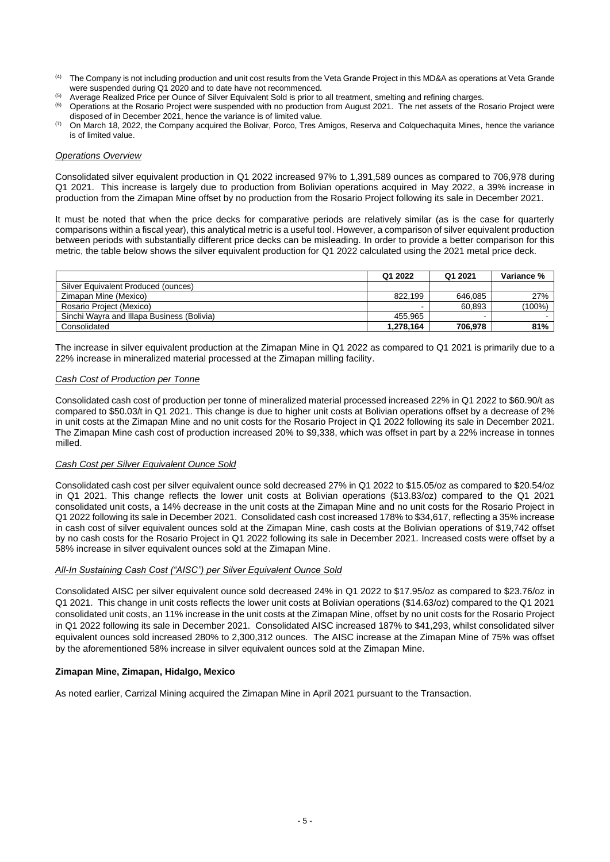- (4) The Company is not including production and unit cost results from the Veta Grande Project in this MD&A as operations at Veta Grande were suspended during Q1 2020 and to date have not recommenced.
- <sup>(5)</sup> Average Realized Price per Ounce of Silver Equivalent Sold is prior to all treatment, smelting and refining charges.<br><sup>(6)</sup> Chargtians at the Peacric Preject ware quanceded with no production from August 2021. The net
- (6) Operations at the Rosario Project were suspended with no production from August 2021. The net assets of the Rosario Project were disposed of in December 2021, hence the variance is of limited value.
- (7) On March 18, 2022, the Company acquired the Bolivar, Porco, Tres Amigos, Reserva and Colquechaquita Mines, hence the variance is of limited value.

## *Operations Overview*

Consolidated silver equivalent production in Q1 2022 increased 97% to 1,391,589 ounces as compared to 706,978 during Q1 2021. This increase is largely due to production from Bolivian operations acquired in May 2022, a 39% increase in production from the Zimapan Mine offset by no production from the Rosario Project following its sale in December 2021.

It must be noted that when the price decks for comparative periods are relatively similar (as is the case for quarterly comparisons within a fiscal year), this analytical metric is a useful tool. However, a comparison of silver equivalent production between periods with substantially different price decks can be misleading. In order to provide a better comparison for this metric, the table below shows the silver equivalent production for Q1 2022 calculated using the 2021 metal price deck.

|                                            | Q1 2022   | Q1 2021 | Variance % |
|--------------------------------------------|-----------|---------|------------|
| Silver Equivalent Produced (ounces)        |           |         |            |
| Zimapan Mine (Mexico)                      | 822.199   | 646.085 | 27%        |
| Rosario Project (Mexico)                   |           | 60.893  | $(100\%)$  |
| Sinchi Wavra and Illapa Business (Bolivia) | 455.965   | -       |            |
| Consolidated                               | 1,278,164 | 706.978 | 81%        |

The increase in silver equivalent production at the Zimapan Mine in Q1 2022 as compared to Q1 2021 is primarily due to a 22% increase in mineralized material processed at the Zimapan milling facility.

# *Cash Cost of Production per Tonne*

Consolidated cash cost of production per tonne of mineralized material processed increased 22% in Q1 2022 to \$60.90/t as compared to \$50.03/t in Q1 2021. This change is due to higher unit costs at Bolivian operations offset by a decrease of 2% in unit costs at the Zimapan Mine and no unit costs for the Rosario Project in Q1 2022 following its sale in December 2021. The Zimapan Mine cash cost of production increased 20% to \$9,338, which was offset in part by a 22% increase in tonnes milled.

### *Cash Cost per Silver Equivalent Ounce Sold*

Consolidated cash cost per silver equivalent ounce sold decreased 27% in Q1 2022 to \$15.05/oz as compared to \$20.54/oz in Q1 2021. This change reflects the lower unit costs at Bolivian operations (\$13.83/oz) compared to the Q1 2021 consolidated unit costs, a 14% decrease in the unit costs at the Zimapan Mine and no unit costs for the Rosario Project in Q1 2022 following its sale in December 2021. Consolidated cash cost increased 178% to \$34,617, reflecting a 35% increase in cash cost of silver equivalent ounces sold at the Zimapan Mine, cash costs at the Bolivian operations of \$19,742 offset by no cash costs for the Rosario Project in Q1 2022 following its sale in December 2021. Increased costs were offset by a 58% increase in silver equivalent ounces sold at the Zimapan Mine.

### *All-In Sustaining Cash Cost ("AISC") per Silver Equivalent Ounce Sold*

Consolidated AISC per silver equivalent ounce sold decreased 24% in Q1 2022 to \$17.95/oz as compared to \$23.76/oz in Q1 2021. This change in unit costs reflects the lower unit costs at Bolivian operations (\$14.63/oz) compared to the Q1 2021 consolidated unit costs, an 11% increase in the unit costs at the Zimapan Mine, offset by no unit costs for the Rosario Project in Q1 2022 following its sale in December 2021. Consolidated AISC increased 187% to \$41,293, whilst consolidated silver equivalent ounces sold increased 280% to 2,300,312 ounces. The AISC increase at the Zimapan Mine of 75% was offset by the aforementioned 58% increase in silver equivalent ounces sold at the Zimapan Mine.

# **Zimapan Mine, Zimapan, Hidalgo, Mexico**

As noted earlier, Carrizal Mining acquired the Zimapan Mine in April 2021 pursuant to the Transaction.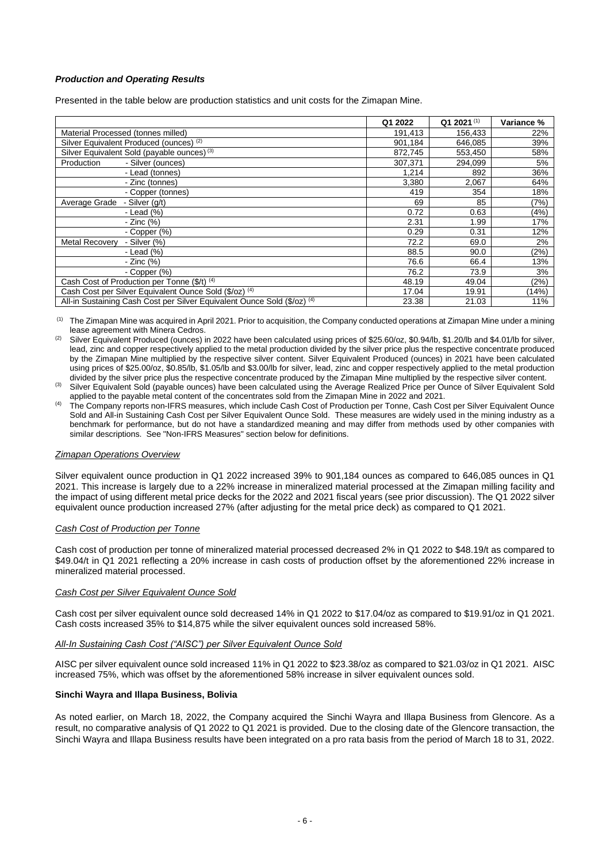# *Production and Operating Results*

Presented in the table below are production statistics and unit costs for the Zimapan Mine.

|                                                                                     | Q1 2022 | Q1 2021 <sup>(1)</sup> | Variance % |
|-------------------------------------------------------------------------------------|---------|------------------------|------------|
| Material Processed (tonnes milled)                                                  | 191,413 | 156,433                | 22%        |
| Silver Equivalent Produced (ounces) (2)                                             | 901.184 | 646,085                | 39%        |
| Silver Equivalent Sold (payable ounces) <sup>(3)</sup>                              | 872.745 | 553,450                | 58%        |
| - Silver (ounces)<br>Production                                                     | 307,371 | 294.099                | 5%         |
| - Lead (tonnes)                                                                     | 1,214   | 892                    | 36%        |
| - Zinc (tonnes)                                                                     | 3,380   | 2,067                  | 64%        |
| - Copper (tonnes)                                                                   | 419     | 354                    | 18%        |
| Average Grade<br>- Silver (q/t)                                                     | 69      | 85                     | (7%)       |
| - Lead $(% )$                                                                       | 0.72    | 0.63                   | (4%)       |
| - Zinc (%)                                                                          | 2.31    | 1.99                   | 17%        |
| - Copper $(\%)$                                                                     | 0.29    | 0.31                   | 12%        |
| <b>Metal Recovery</b><br>- Silver $(\%)$                                            | 72.2    | 69.0                   | 2%         |
| - Lead $(%)$                                                                        | 88.5    | 90.0                   | (2%)       |
| - Zinc (%)                                                                          | 76.6    | 66.4                   | 13%        |
| - Copper $(\%)$                                                                     | 76.2    | 73.9                   | 3%         |
| Cash Cost of Production per Tonne (\$/t) (4)                                        | 48.19   | 49.04                  | (2%)       |
| Cash Cost per Silver Equivalent Ounce Sold (\$/oz) (4)                              | 17.04   | 19.91                  | (14%)      |
| All-in Sustaining Cash Cost per Silver Equivalent Ounce Sold (\$/oz) <sup>(4)</sup> | 23.38   | 21.03                  | 11%        |

(1) The Zimapan Mine was acquired in April 2021. Prior to acquisition, the Company conducted operations at Zimapan Mine under a mining lease agreement with Minera Cedros.

Silver Equivalent Produced (ounces) in 2022 have been calculated using prices of \$25.60/oz, \$0.94/lb, \$1.20/lb and \$4.01/lb for silver, lead, zinc and copper respectively applied to the metal production divided by the silver price plus the respective concentrate produced by the Zimapan Mine multiplied by the respective silver content. Silver Equivalent Produced (ounces) in 2021 have been calculated using prices of \$25.00/oz, \$0.85/lb, \$1.05/lb and \$3.00/lb for silver, lead, zinc and copper respectively applied to the metal production divided by the silver price plus the respective concentrate produced by the Zimapan Mine multiplied by the respective silver content.

Silver Equivalent Sold (payable ounces) have been calculated using the Average Realized Price per Ounce of Silver Equivalent Sold applied to the payable metal content of the concentrates sold from the Zimapan Mine in 2022 and 2021.

(4) The Company reports non-IFRS measures, which include Cash Cost of Production per Tonne, Cash Cost per Silver Equivalent Ounce Sold and All-in Sustaining Cash Cost per Silver Equivalent Ounce Sold. These measures are widely used in the mining industry as a benchmark for performance, but do not have a standardized meaning and may differ from methods used by other companies with similar descriptions. See "Non-IFRS Measures" section below for definitions.

### *Zimapan Operations Overview*

Silver equivalent ounce production in Q1 2022 increased 39% to 901,184 ounces as compared to 646,085 ounces in Q1 2021. This increase is largely due to a 22% increase in mineralized material processed at the Zimapan milling facility and the impact of using different metal price decks for the 2022 and 2021 fiscal years (see prior discussion). The Q1 2022 silver equivalent ounce production increased 27% (after adjusting for the metal price deck) as compared to Q1 2021.

### *Cash Cost of Production per Tonne*

Cash cost of production per tonne of mineralized material processed decreased 2% in Q1 2022 to \$48.19/t as compared to \$49.04/t in Q1 2021 reflecting a 20% increase in cash costs of production offset by the aforementioned 22% increase in mineralized material processed.

### *Cash Cost per Silver Equivalent Ounce Sold*

Cash cost per silver equivalent ounce sold decreased 14% in Q1 2022 to \$17.04/oz as compared to \$19.91/oz in Q1 2021. Cash costs increased 35% to \$14,875 while the silver equivalent ounces sold increased 58%.

### *All-In Sustaining Cash Cost ("AISC") per Silver Equivalent Ounce Sold*

AISC per silver equivalent ounce sold increased 11% in Q1 2022 to \$23.38/oz as compared to \$21.03/oz in Q1 2021. AISC increased 75%, which was offset by the aforementioned 58% increase in silver equivalent ounces sold.

### **Sinchi Wayra and Illapa Business, Bolivia**

As noted earlier, on March 18, 2022, the Company acquired the Sinchi Wayra and Illapa Business from Glencore. As a result, no comparative analysis of Q1 2022 to Q1 2021 is provided. Due to the closing date of the Glencore transaction, the Sinchi Wayra and Illapa Business results have been integrated on a pro rata basis from the period of March 18 to 31, 2022.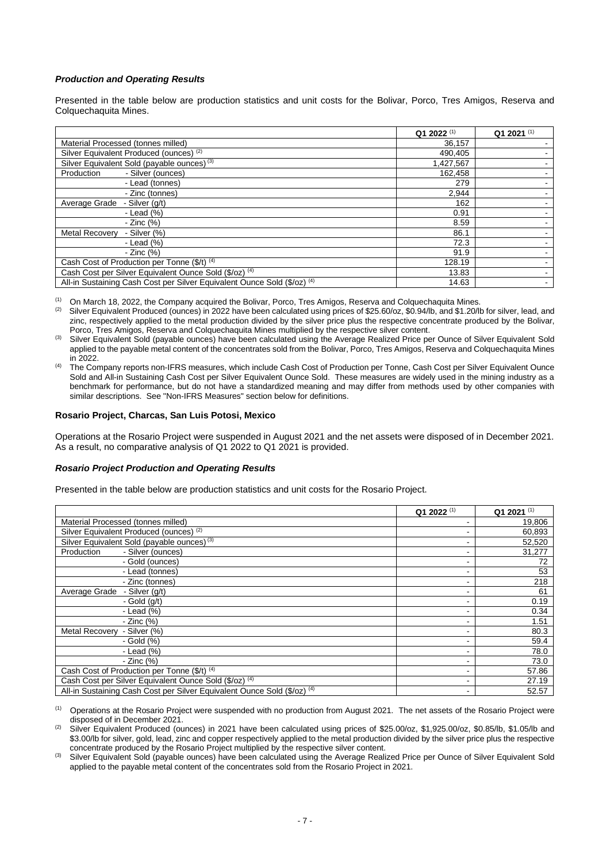## *Production and Operating Results*

Presented in the table below are production statistics and unit costs for the Bolivar, Porco, Tres Amigos, Reserva and Colquechaquita Mines.

|                                                                          | Q1 2022 <sup>(1)</sup> | Q1 2021 (1) |
|--------------------------------------------------------------------------|------------------------|-------------|
| Material Processed (tonnes milled)                                       | 36,157                 |             |
| Silver Equivalent Produced (ounces) (2)                                  | 490,405                |             |
| Silver Equivalent Sold (payable ounces) <sup>(3)</sup>                   | 1,427,567              |             |
| - Silver (ounces)<br>Production                                          | 162.458                |             |
| - Lead (tonnes)                                                          | 279                    |             |
| - Zinc (tonnes)                                                          | 2,944                  |             |
| Average Grade<br>- Silver (q/t)                                          | 162                    |             |
| - Lead $(%)$                                                             | 0.91                   |             |
| - Zinc (%)                                                               | 8.59                   |             |
| <b>Metal Recovery</b><br>- Silver (%)                                    | 86.1                   |             |
| - Lead $(% )$                                                            | 72.3                   |             |
| - Zinc (%)                                                               | 91.9                   |             |
| Cash Cost of Production per Tonne (\$/t) (4)                             | 128.19                 |             |
| Cash Cost per Silver Equivalent Ounce Sold (\$/oz) (4)                   | 13.83                  |             |
| All-in Sustaining Cash Cost per Silver Equivalent Ounce Sold (\$/oz) (4) | 14.63                  |             |

(1) On March 18, 2022, the Company acquired the Bolivar, Porco, Tres Amigos, Reserva and Colquechaquita Mines.<br>(2) Silver Equivalent Produced (ounces) in 2022 have been calculated using prices of \$25,60/oz, \$0,94/h, and \$

Silver Equivalent Produced (ounces) in 2022 have been calculated using prices of \$25.60/oz, \$0.94/lb, and \$1.20/lb for silver, lead, and zinc, respectively applied to the metal production divided by the silver price plus the respective concentrate produced by the Bolivar, Porco, Tres Amigos, Reserva and Colquechaquita Mines multiplied by the respective silver content.

Silver Equivalent Sold (payable ounces) have been calculated using the Average Realized Price per Ounce of Silver Equivalent Sold applied to the payable metal content of the concentrates sold from the Bolivar, Porco, Tres Amigos, Reserva and Colquechaquita Mines in 2022.

(4) The Company reports non-IFRS measures, which include Cash Cost of Production per Tonne, Cash Cost per Silver Equivalent Ounce Sold and All-in Sustaining Cash Cost per Silver Equivalent Ounce Sold. These measures are widely used in the mining industry as a benchmark for performance, but do not have a standardized meaning and may differ from methods used by other companies with similar descriptions. See "Non-IFRS Measures" section below for definitions.

#### **Rosario Project, Charcas, San Luis Potosi, Mexico**

Operations at the Rosario Project were suspended in August 2021 and the net assets were disposed of in December 2021. As a result, no comparative analysis of Q1 2022 to Q1 2021 is provided.

### *Rosario Project Production and Operating Results*

Presented in the table below are production statistics and unit costs for the Rosario Project.

|                                                                          | Q1 2022 <sup>(1)</sup> | Q1 2021 <sup>(1)</sup> |
|--------------------------------------------------------------------------|------------------------|------------------------|
| Material Processed (tonnes milled)                                       |                        | 19,806                 |
| Silver Equivalent Produced (ounces) (2)                                  |                        | 60,893                 |
| Silver Equivalent Sold (payable ounces) <sup>(3)</sup>                   |                        | 52,520                 |
| - Silver (ounces)<br>Production                                          |                        | 31,277                 |
| - Gold (ounces)                                                          |                        | 72                     |
| - Lead (tonnes)                                                          |                        | 53                     |
| - Zinc (tonnes)                                                          |                        | 218                    |
| Average Grade<br>- Silver (g/t)                                          |                        | 61                     |
| - Gold $(g/t)$                                                           |                        | 0.19                   |
| - Lead $(\%)$                                                            |                        | 0.34                   |
| - Zinc (%)                                                               |                        | 1.51                   |
| Metal Recovery - Silver (%)                                              | -                      | 80.3                   |
| - Gold (%)                                                               |                        | 59.4                   |
| - Lead $(\%)$                                                            |                        | 78.0                   |
| - Zinc (%)                                                               | -                      | 73.0                   |
| Cash Cost of Production per Tonne (\$/t) (4)                             |                        | 57.86                  |
| Cash Cost per Silver Equivalent Ounce Sold (\$/oz) (4)                   |                        | 27.19                  |
| All-in Sustaining Cash Cost per Silver Equivalent Ounce Sold (\$/oz) (4) |                        | 52.57                  |

(1) Operations at the Rosario Project were suspended with no production from August 2021. The net assets of the Rosario Project were disposed of in December 2021.

Silver Equivalent Produced (ounces) in 2021 have been calculated using prices of \$25.00/oz, \$1,925.00/oz, \$0.85/lb, \$1.05/lb and \$3.00/lb for silver, gold, lead, zinc and copper respectively applied to the metal production divided by the silver price plus the respective concentrate produced by the Rosario Project multiplied by the respective silver content.

Silver Equivalent Sold (payable ounces) have been calculated using the Average Realized Price per Ounce of Silver Equivalent Sold applied to the payable metal content of the concentrates sold from the Rosario Project in 2021.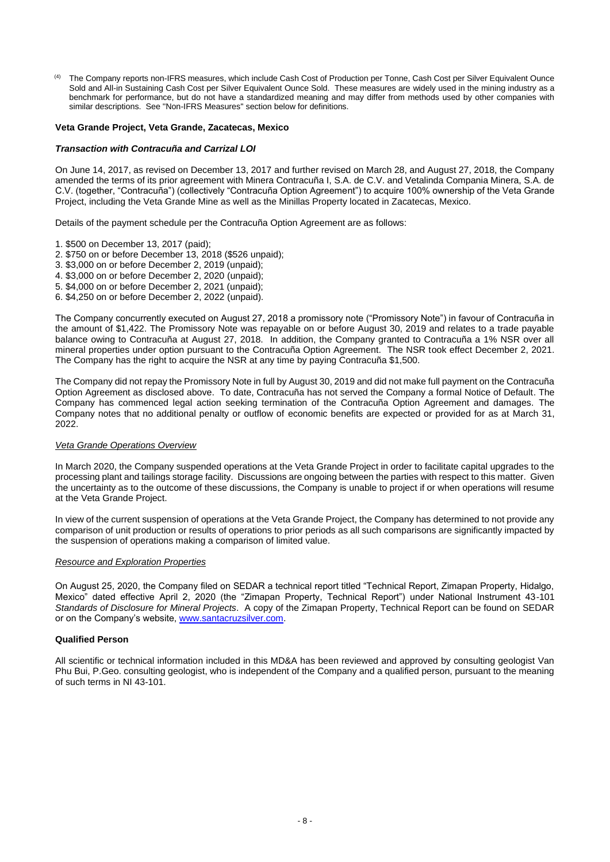(4) The Company reports non-IFRS measures, which include Cash Cost of Production per Tonne, Cash Cost per Silver Equivalent Ounce Sold and All-in Sustaining Cash Cost per Silver Equivalent Ounce Sold. These measures are widely used in the mining industry as a benchmark for performance, but do not have a standardized meaning and may differ from methods used by other companies with similar descriptions. See ''Non-IFRS Measures'' section below for definitions.

## **Veta Grande Project, Veta Grande, Zacatecas, Mexico**

### *Transaction with Contracuña and Carrizal LOI*

On June 14, 2017, as revised on December 13, 2017 and further revised on March 28, and August 27, 2018, the Company amended the terms of its prior agreement with Minera Contracuña I, S.A. de C.V. and Vetalinda Compania Minera, S.A. de C.V. (together, "Contracuña") (collectively "Contracuña Option Agreement") to acquire 100% ownership of the Veta Grande Project, including the Veta Grande Mine as well as the Minillas Property located in Zacatecas, Mexico.

Details of the payment schedule per the Contracuña Option Agreement are as follows:

- 1. \$500 on December 13, 2017 (paid);
- 2. \$750 on or before December 13, 2018 (\$526 unpaid);
- 3. \$3,000 on or before December 2, 2019 (unpaid);
- 4. \$3,000 on or before December 2, 2020 (unpaid);
- 5. \$4,000 on or before December 2, 2021 (unpaid);
- 6. \$4,250 on or before December 2, 2022 (unpaid).

The Company concurrently executed on August 27, 2018 a promissory note ("Promissory Note") in favour of Contracuña in the amount of \$1,422. The Promissory Note was repayable on or before August 30, 2019 and relates to a trade payable balance owing to Contracuña at August 27, 2018. In addition, the Company granted to Contracuña a 1% NSR over all mineral properties under option pursuant to the Contracuña Option Agreement. The NSR took effect December 2, 2021. The Company has the right to acquire the NSR at any time by paying Contracuña \$1,500.

The Company did not repay the Promissory Note in full by August 30, 2019 and did not make full payment on the Contracuña Option Agreement as disclosed above. To date, Contracuña has not served the Company a formal Notice of Default. The Company has commenced legal action seeking termination of the Contracuña Option Agreement and damages. The Company notes that no additional penalty or outflow of economic benefits are expected or provided for as at March 31, 2022.

#### *Veta Grande Operations Overview*

In March 2020, the Company suspended operations at the Veta Grande Project in order to facilitate capital upgrades to the processing plant and tailings storage facility. Discussions are ongoing between the parties with respect to this matter. Given the uncertainty as to the outcome of these discussions, the Company is unable to project if or when operations will resume at the Veta Grande Project.

In view of the current suspension of operations at the Veta Grande Project, the Company has determined to not provide any comparison of unit production or results of operations to prior periods as all such comparisons are significantly impacted by the suspension of operations making a comparison of limited value.

#### *Resource and Exploration Properties*

On August 25, 2020, the Company filed on SEDAR a technical report titled "Technical Report, Zimapan Property, Hidalgo, Mexico" dated effective April 2, 2020 (the "Zimapan Property, Technical Report") under National Instrument 43-101 *Standards of Disclosure for Mineral Projects*. A copy of the Zimapan Property, Technical Report can be found on SEDAR or on the Company's website, [www.santacruzsilver.com.](http://www.santacruzsilver.com/)

#### **Qualified Person**

All scientific or technical information included in this MD&A has been reviewed and approved by consulting geologist Van Phu Bui, P.Geo. consulting geologist, who is independent of the Company and a qualified person, pursuant to the meaning of such terms in NI 43-101.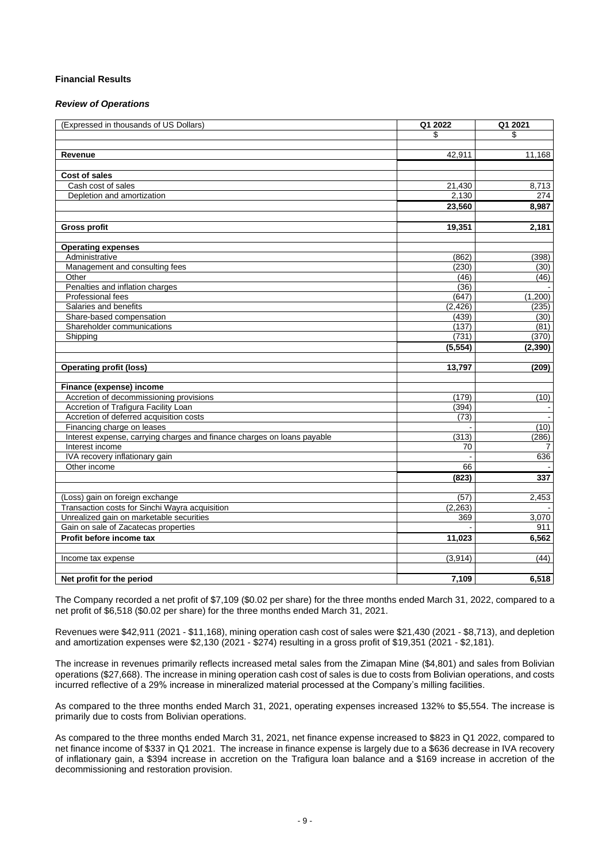## **Financial Results**

#### *Review of Operations*

| (Expressed in thousands of US Dollars)                                  | Q1 2022  | Q1 2021  |
|-------------------------------------------------------------------------|----------|----------|
|                                                                         | \$       | \$       |
|                                                                         |          |          |
| Revenue                                                                 | 42,911   | 11,168   |
|                                                                         |          |          |
| <b>Cost of sales</b>                                                    |          |          |
| Cash cost of sales                                                      | 21,430   | 8,713    |
| Depletion and amortization                                              | 2,130    | 274      |
|                                                                         | 23,560   | 8,987    |
|                                                                         |          |          |
| <b>Gross profit</b>                                                     | 19,351   | 2,181    |
|                                                                         |          |          |
| <b>Operating expenses</b>                                               |          |          |
| Administrative                                                          | (862)    | (398)    |
| Management and consulting fees                                          | (230)    | (30)     |
| Other                                                                   | (46)     | (46)     |
| Penalties and inflation charges                                         | (36)     |          |
| Professional fees                                                       | (647)    | (1,200)  |
| Salaries and benefits                                                   | (2, 426) | (235)    |
| Share-based compensation                                                | (439)    | (30)     |
| Shareholder communications                                              | (137)    | (81)     |
| Shipping                                                                | (731)    | (370)    |
|                                                                         | (5, 554) | (2, 390) |
|                                                                         |          |          |
| <b>Operating profit (loss)</b>                                          | 13,797   | (209)    |
|                                                                         |          |          |
| Finance (expense) income                                                |          |          |
| Accretion of decommissioning provisions                                 | (179)    | (10)     |
| Accretion of Trafigura Facility Loan                                    | (394)    |          |
| Accretion of deferred acquisition costs                                 | (73)     |          |
| Financing charge on leases                                              |          | (10)     |
| Interest expense, carrying charges and finance charges on loans payable | (313)    | (286)    |
| Interest income                                                         | 70       | 7        |
| IVA recovery inflationary gain                                          |          | 636      |
| Other income                                                            | 66       |          |
|                                                                         | (823)    | 337      |
|                                                                         |          |          |
| (Loss) gain on foreign exchange                                         | (57)     | 2,453    |
| Transaction costs for Sinchi Wayra acquisition                          | (2, 263) |          |
| Unrealized gain on marketable securities                                | 369      | 3,070    |
| Gain on sale of Zacatecas properties                                    |          | 911      |
| Profit before income tax                                                | 11,023   | 6,562    |
|                                                                         |          |          |
| Income tax expense                                                      | (3,914)  | (44)     |
|                                                                         |          |          |
| Net profit for the period                                               | 7.109    | 6,518    |

The Company recorded a net profit of \$7,109 (\$0.02 per share) for the three months ended March 31, 2022, compared to a net profit of \$6,518 (\$0.02 per share) for the three months ended March 31, 2021.

Revenues were \$42,911 (2021 - \$11,168), mining operation cash cost of sales were \$21,430 (2021 - \$8,713), and depletion and amortization expenses were \$2,130 (2021 - \$274) resulting in a gross profit of \$19,351 (2021 - \$2,181).

The increase in revenues primarily reflects increased metal sales from the Zimapan Mine (\$4,801) and sales from Bolivian operations (\$27,668). The increase in mining operation cash cost of sales is due to costs from Bolivian operations, and costs incurred reflective of a 29% increase in mineralized material processed at the Company's milling facilities.

As compared to the three months ended March 31, 2021, operating expenses increased 132% to \$5,554. The increase is primarily due to costs from Bolivian operations.

As compared to the three months ended March 31, 2021, net finance expense increased to \$823 in Q1 2022, compared to net finance income of \$337 in Q1 2021. The increase in finance expense is largely due to a \$636 decrease in IVA recovery of inflationary gain, a \$394 increase in accretion on the Trafigura loan balance and a \$169 increase in accretion of the decommissioning and restoration provision.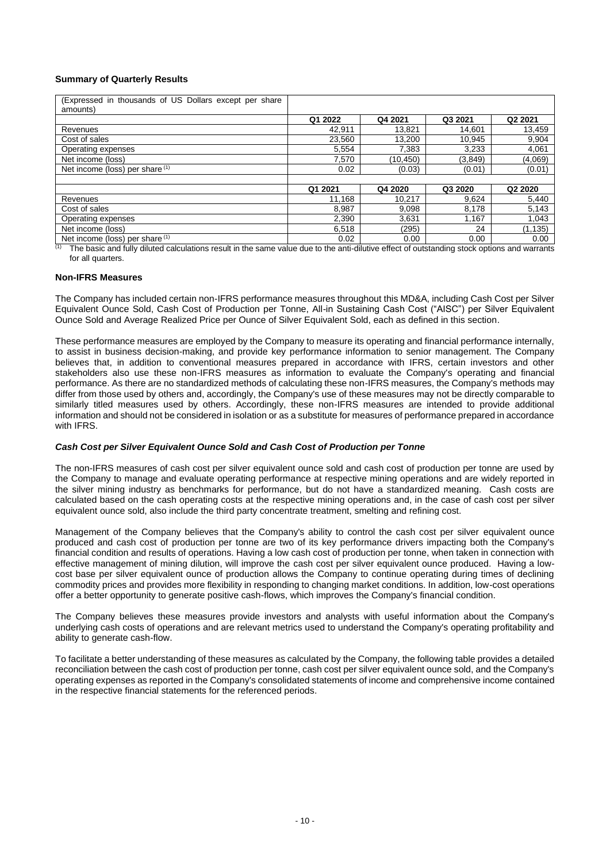## **Summary of Quarterly Results**

| (Expressed in thousands of US Dollars except per share<br>amounts) |         |          |         |                     |
|--------------------------------------------------------------------|---------|----------|---------|---------------------|
|                                                                    | Q1 2022 | Q4 2021  | Q3 2021 | Q <sub>2</sub> 2021 |
| Revenues                                                           | 42.911  | 13.821   | 14.601  | 13,459              |
| Cost of sales                                                      | 23,560  | 13,200   | 10,945  | 9,904               |
| Operating expenses                                                 | 5,554   | 7.383    | 3.233   | 4,061               |
| Net income (loss)                                                  | 7,570   | (10,450) | (3,849) | (4,069)             |
| Net income (loss) per share (1)                                    | 0.02    | (0.03)   | (0.01)  | (0.01)              |
|                                                                    |         |          |         |                     |
|                                                                    | Q1 2021 | Q4 2020  | Q3 2020 | Q2 2020             |
| Revenues                                                           | 11.168  | 10.217   | 9,624   | 5,440               |
| Cost of sales                                                      | 8,987   | 9,098    | 8,178   | 5,143               |
| Operating expenses                                                 | 2,390   | 3,631    | 1,167   | 1,043               |
| Net income (loss)                                                  | 6,518   | (295)    | 24      | (1, 135)            |
| Net income (loss) per share $(1)$                                  | 0.02    | 0.00     | 0.00    | 0.00                |

The basic and fully diluted calculations result in the same value due to the anti-dilutive effect of outstanding stock options and warrants for all quarters.

## **Non-IFRS Measures**

The Company has included certain non-IFRS performance measures throughout this MD&A, including Cash Cost per Silver Equivalent Ounce Sold, Cash Cost of Production per Tonne, All-in Sustaining Cash Cost ("AISC") per Silver Equivalent Ounce Sold and Average Realized Price per Ounce of Silver Equivalent Sold, each as defined in this section.

These performance measures are employed by the Company to measure its operating and financial performance internally, to assist in business decision-making, and provide key performance information to senior management. The Company believes that, in addition to conventional measures prepared in accordance with IFRS, certain investors and other stakeholders also use these non-IFRS measures as information to evaluate the Company's operating and financial performance. As there are no standardized methods of calculating these non-IFRS measures, the Company's methods may differ from those used by others and, accordingly, the Company's use of these measures may not be directly comparable to similarly titled measures used by others. Accordingly, these non-IFRS measures are intended to provide additional information and should not be considered in isolation or as a substitute for measures of performance prepared in accordance with IFRS.

### *Cash Cost per Silver Equivalent Ounce Sold and Cash Cost of Production per Tonne*

The non-IFRS measures of cash cost per silver equivalent ounce sold and cash cost of production per tonne are used by the Company to manage and evaluate operating performance at respective mining operations and are widely reported in the silver mining industry as benchmarks for performance, but do not have a standardized meaning. Cash costs are calculated based on the cash operating costs at the respective mining operations and, in the case of cash cost per silver equivalent ounce sold, also include the third party concentrate treatment, smelting and refining cost.

Management of the Company believes that the Company's ability to control the cash cost per silver equivalent ounce produced and cash cost of production per tonne are two of its key performance drivers impacting both the Company's financial condition and results of operations. Having a low cash cost of production per tonne, when taken in connection with effective management of mining dilution, will improve the cash cost per silver equivalent ounce produced. Having a lowcost base per silver equivalent ounce of production allows the Company to continue operating during times of declining commodity prices and provides more flexibility in responding to changing market conditions. In addition, low-cost operations offer a better opportunity to generate positive cash-flows, which improves the Company's financial condition.

The Company believes these measures provide investors and analysts with useful information about the Company's underlying cash costs of operations and are relevant metrics used to understand the Company's operating profitability and ability to generate cash-flow.

To facilitate a better understanding of these measures as calculated by the Company, the following table provides a detailed reconciliation between the cash cost of production per tonne, cash cost per silver equivalent ounce sold, and the Company's operating expenses as reported in the Company's consolidated statements of income and comprehensive income contained in the respective financial statements for the referenced periods.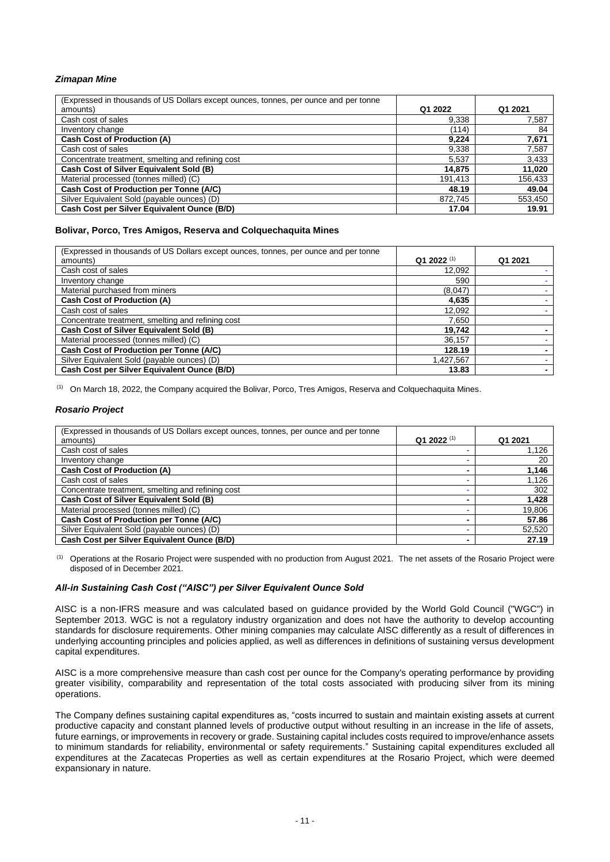# *Zimapan Mine*

| (Expressed in thousands of US Dollars except ounces, tonnes, per ounce and per tonne<br>amounts) | Q1 2022 | Q1 2021 |
|--------------------------------------------------------------------------------------------------|---------|---------|
| Cash cost of sales                                                                               | 9,338   | 7.587   |
| Inventory change                                                                                 | (114)   | 84      |
| <b>Cash Cost of Production (A)</b>                                                               | 9.224   | 7.671   |
| Cash cost of sales                                                                               | 9,338   | 7,587   |
| Concentrate treatment, smelting and refining cost                                                | 5,537   | 3,433   |
| Cash Cost of Silver Equivalent Sold (B)                                                          | 14.875  | 11,020  |
| Material processed (tonnes milled) (C)                                                           | 191.413 | 156,433 |
| Cash Cost of Production per Tonne (A/C)                                                          | 48.19   | 49.04   |
| Silver Equivalent Sold (payable ounces) (D)                                                      | 872,745 | 553,450 |
| Cash Cost per Silver Equivalent Ounce (B/D)                                                      | 17.04   | 19.91   |

# **Bolivar, Porco, Tres Amigos, Reserva and Colquechaquita Mines**

| (Expressed in thousands of US Dollars except ounces, tonnes, per ounce and per tonne |                        |         |
|--------------------------------------------------------------------------------------|------------------------|---------|
| amounts)                                                                             | Q1 2022 <sup>(1)</sup> | Q1 2021 |
| Cash cost of sales                                                                   | 12,092                 |         |
| Inventory change                                                                     | 590                    |         |
| Material purchased from miners                                                       | (8,047)                |         |
| <b>Cash Cost of Production (A)</b>                                                   | 4,635                  |         |
| Cash cost of sales                                                                   | 12,092                 |         |
| Concentrate treatment, smelting and refining cost                                    | 7.650                  |         |
| Cash Cost of Silver Equivalent Sold (B)                                              | 19,742                 |         |
| Material processed (tonnes milled) (C)                                               | 36,157                 |         |
| Cash Cost of Production per Tonne (A/C)                                              | 128.19                 |         |
| Silver Equivalent Sold (payable ounces) (D)                                          | 1,427,567              |         |
| Cash Cost per Silver Equivalent Ounce (B/D)                                          | 13.83                  |         |

(1) On March 18, 2022, the Company acquired the Bolivar, Porco, Tres Amigos, Reserva and Colquechaquita Mines.

## *Rosario Project*

| (Expressed in thousands of US Dollars except ounces, tonnes, per ounce and per tonne |                        |         |
|--------------------------------------------------------------------------------------|------------------------|---------|
| amounts)                                                                             | Q1 2022 <sup>(1)</sup> | Q1 2021 |
| Cash cost of sales                                                                   |                        | 1.126   |
| Inventory change                                                                     |                        | 20      |
| <b>Cash Cost of Production (A)</b>                                                   |                        | 1,146   |
| Cash cost of sales                                                                   |                        | 1,126   |
| Concentrate treatment, smelting and refining cost                                    |                        | 302     |
| Cash Cost of Silver Equivalent Sold (B)                                              |                        | 1,428   |
| Material processed (tonnes milled) (C)                                               |                        | 19,806  |
| Cash Cost of Production per Tonne (A/C)                                              |                        | 57.86   |
| Silver Equivalent Sold (payable ounces) (D)                                          |                        | 52,520  |
| Cash Cost per Silver Equivalent Ounce (B/D)                                          |                        | 27.19   |

(1) Operations at the Rosario Project were suspended with no production from August 2021. The net assets of the Rosario Project were disposed of in December 2021.

### *All-in Sustaining Cash Cost ("AISC") per Silver Equivalent Ounce Sold*

AISC is a non‐IFRS measure and was calculated based on guidance provided by the World Gold Council ("WGC") in September 2013. WGC is not a regulatory industry organization and does not have the authority to develop accounting standards for disclosure requirements. Other mining companies may calculate AISC differently as a result of differences in underlying accounting principles and policies applied, as well as differences in definitions of sustaining versus development capital expenditures.

AISC is a more comprehensive measure than cash cost per ounce for the Company's operating performance by providing greater visibility, comparability and representation of the total costs associated with producing silver from its mining operations.

The Company defines sustaining capital expenditures as, "costs incurred to sustain and maintain existing assets at current productive capacity and constant planned levels of productive output without resulting in an increase in the life of assets, future earnings, or improvements in recovery or grade. Sustaining capital includes costs required to improve/enhance assets to minimum standards for reliability, environmental or safety requirements." Sustaining capital expenditures excluded all expenditures at the Zacatecas Properties as well as certain expenditures at the Rosario Project, which were deemed expansionary in nature.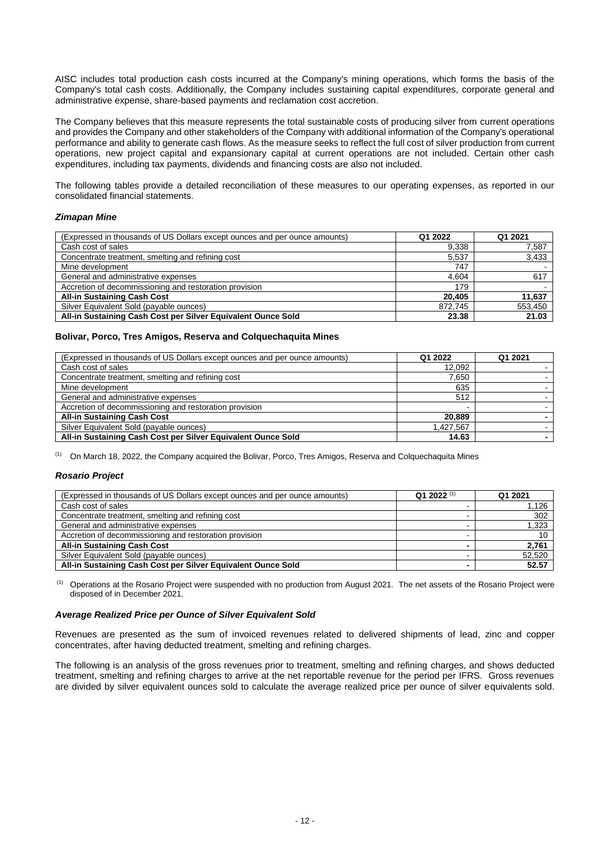AISC includes total production cash costs incurred at the Company's mining operations, which forms the basis of the Company's total cash costs. Additionally, the Company includes sustaining capital expenditures, corporate general and administrative expense, share‐based payments and reclamation cost accretion.

The Company believes that this measure represents the total sustainable costs of producing silver from current operations and provides the Company and other stakeholders of the Company with additional information of the Company's operational performance and ability to generate cash flows. As the measure seeks to reflect the full cost of silver production from current operations, new project capital and expansionary capital at current operations are not included. Certain other cash expenditures, including tax payments, dividends and financing costs are also not included.

The following tables provide a detailed reconciliation of these measures to our operating expenses, as reported in our consolidated financial statements.

## *Zimapan Mine*

| (Expressed in thousands of US Dollars except ounces and per ounce amounts) | Q1 2022 | Q1 2021 |
|----------------------------------------------------------------------------|---------|---------|
| Cash cost of sales                                                         | 9.338   | 7,587   |
| Concentrate treatment, smelting and refining cost                          | 5.537   | 3,433   |
| Mine development                                                           | 747     |         |
| General and administrative expenses                                        | 4.604   | 617     |
| Accretion of decommissioning and restoration provision                     | 179     |         |
| <b>All-in Sustaining Cash Cost</b>                                         | 20.405  | 11,637  |
| Silver Equivalent Sold (payable ounces)                                    | 872.745 | 553,450 |
| All-in Sustaining Cash Cost per Silver Equivalent Ounce Sold               | 23.38   | 21.03   |

## **Bolivar, Porco, Tres Amigos, Reserva and Colquechaquita Mines**

| (Expressed in thousands of US Dollars except ounces and per ounce amounts) | Q1 2022   | Q1 2021 |
|----------------------------------------------------------------------------|-----------|---------|
| Cash cost of sales                                                         | 12,092    |         |
| Concentrate treatment, smelting and refining cost                          | 7.650     |         |
| Mine development                                                           | 635       |         |
| General and administrative expenses                                        | 512       |         |
| Accretion of decommissioning and restoration provision                     | -         |         |
| <b>All-in Sustaining Cash Cost</b>                                         | 20,889    |         |
| Silver Equivalent Sold (payable ounces)                                    | 1.427.567 |         |
| All-in Sustaining Cash Cost per Silver Equivalent Ounce Sold               | 14.63     |         |

(1) On March 18, 2022, the Company acquired the Bolivar, Porco, Tres Amigos, Reserva and Colquechaquita Mines

### *Rosario Project*

| (Expressed in thousands of US Dollars except ounces and per ounce amounts) | Q1 2022 $(1)$ | Q1 2021 |
|----------------------------------------------------------------------------|---------------|---------|
| Cash cost of sales                                                         |               | 1.126   |
| Concentrate treatment, smelting and refining cost                          |               | 302     |
| General and administrative expenses                                        |               | 1.323   |
| Accretion of decommissioning and restoration provision                     |               | 10      |
| <b>All-in Sustaining Cash Cost</b>                                         |               | 2.761   |
| Silver Equivalent Sold (payable ounces)                                    |               | 52.520  |
| All-in Sustaining Cash Cost per Silver Equivalent Ounce Sold               |               | 52.57   |

(1) Operations at the Rosario Project were suspended with no production from August 2021. The net assets of the Rosario Project were disposed of in December 2021.

### *Average Realized Price per Ounce of Silver Equivalent Sold*

Revenues are presented as the sum of invoiced revenues related to delivered shipments of lead, zinc and copper concentrates, after having deducted treatment, smelting and refining charges.

The following is an analysis of the gross revenues prior to treatment, smelting and refining charges, and shows deducted treatment, smelting and refining charges to arrive at the net reportable revenue for the period per IFRS. Gross revenues are divided by silver equivalent ounces sold to calculate the average realized price per ounce of silver equivalents sold.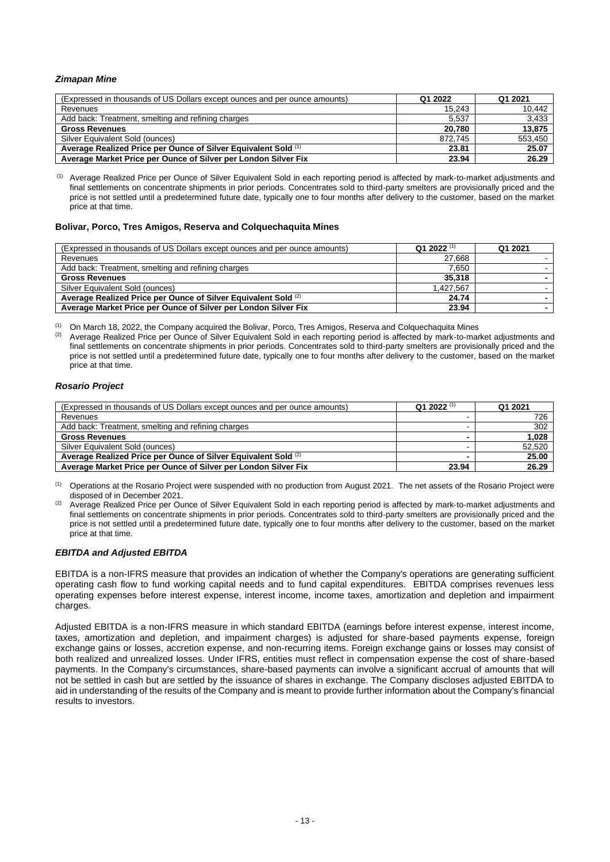## *Zimapan Mine*

| (Expressed in thousands of US Dollars except ounces and per ounce amounts) | Q1 2022 | Q1 2021 |
|----------------------------------------------------------------------------|---------|---------|
| Revenues                                                                   | 15.243  | 10,442  |
| Add back: Treatment, smelting and refining charges                         | 5.537   | 3,433   |
| <b>Gross Revenues</b>                                                      | 20.780  | 13.875  |
| Silver Equivalent Sold (ounces)                                            | 872.745 | 553,450 |
| Average Realized Price per Ounce of Silver Equivalent Sold (1)             | 23.81   | 25.07   |
| Average Market Price per Ounce of Silver per London Silver Fix             | 23.94   | 26.29   |

(1) Average Realized Price per Ounce of Silver Equivalent Sold in each reporting period is affected by mark‐to‐market adjustments and final settlements on concentrate shipments in prior periods. Concentrates sold to third-party smelters are provisionally priced and the price is not settled until a predetermined future date, typically one to four months after delivery to the customer, based on the market price at that time.

#### **Bolivar, Porco, Tres Amigos, Reserva and Colquechaquita Mines**

| (Expressed in thousands of US Dollars except ounces and per ounce amounts) | Q1 2022 $(1)$ | Q1 2021 |
|----------------------------------------------------------------------------|---------------|---------|
| Revenues                                                                   | 27.668        |         |
| Add back: Treatment, smelting and refining charges                         | 7.650         |         |
| <b>Gross Revenues</b>                                                      | 35.318        |         |
| Silver Equivalent Sold (ounces)                                            | 1.427.567     |         |
| Average Realized Price per Ounce of Silver Equivalent Sold (2)             | 24.74         |         |
| Average Market Price per Ounce of Silver per London Silver Fix             | 23.94         |         |

(1) On March 18, 2022, the Company acquired the Bolivar, Porco, Tres Amigos, Reserva and Colquechaquita Mines

(2) Average Realized Price per Ounce of Silver Equivalent Sold in each reporting period is affected by mark‐to‐market adjustments and final settlements on concentrate shipments in prior periods. Concentrates sold to third-party smelters are provisionally priced and the price is not settled until a predetermined future date, typically one to four months after delivery to the customer, based on the market price at that time.

### *Rosario Project*

| (Expressed in thousands of US Dollars except ounces and per ounce amounts) | Q1 2022 $(1)$ | Q1 2021 |
|----------------------------------------------------------------------------|---------------|---------|
| Revenues                                                                   |               | 726     |
| Add back: Treatment, smelting and refining charges                         |               | 302     |
| <b>Gross Revenues</b>                                                      |               | 1.028   |
| Silver Equivalent Sold (ounces)                                            |               | 52,520  |
| Average Realized Price per Ounce of Silver Equivalent Sold (2)             |               | 25.00   |
| Average Market Price per Ounce of Silver per London Silver Fix             | 23.94         | 26.29   |

(1) Operations at the Rosario Project were suspended with no production from August 2021. The net assets of the Rosario Project were disposed of in December 2021.

Average Realized Price per Ounce of Silver Equivalent Sold in each reporting period is affected by mark-to-market adjustments and final settlements on concentrate shipments in prior periods. Concentrates sold to third-party smelters are provisionally priced and the price is not settled until a predetermined future date, typically one to four months after delivery to the customer, based on the market price at that time.

### *EBITDA and Adjusted EBITDA*

EBITDA is a non-IFRS measure that provides an indication of whether the Company's operations are generating sufficient operating cash flow to fund working capital needs and to fund capital expenditures. EBITDA comprises revenues less operating expenses before interest expense, interest income, income taxes, amortization and depletion and impairment charges.

Adjusted EBITDA is a non-IFRS measure in which standard EBITDA (earnings before interest expense, interest income, taxes, amortization and depletion, and impairment charges) is adjusted for share-based payments expense, foreign exchange gains or losses, accretion expense, and non-recurring items. Foreign exchange gains or losses may consist of both realized and unrealized losses. Under IFRS, entities must reflect in compensation expense the cost of share-based payments. In the Company's circumstances, share-based payments can involve a significant accrual of amounts that will not be settled in cash but are settled by the issuance of shares in exchange. The Company discloses adjusted EBITDA to aid in understanding of the results of the Company and is meant to provide further information about the Company's financial results to investors.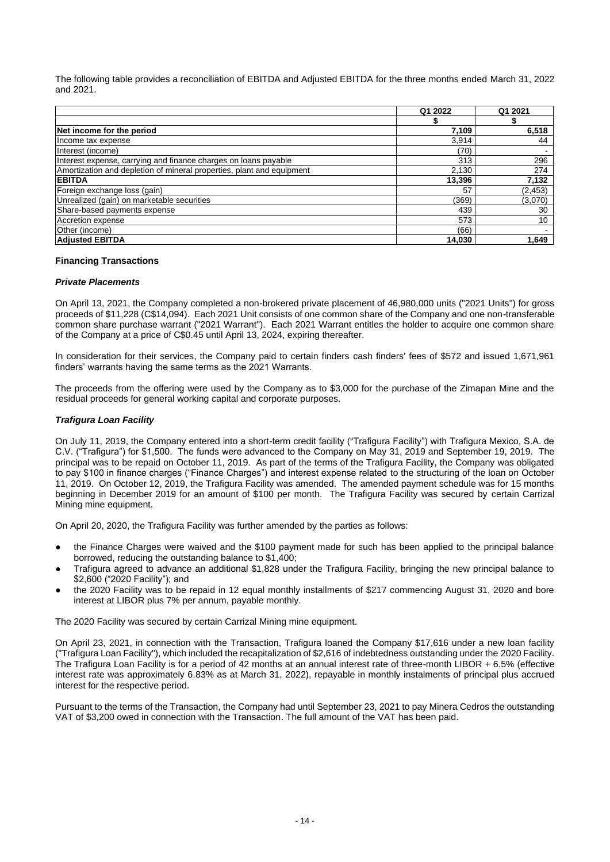The following table provides a reconciliation of EBITDA and Adjusted EBITDA for the three months ended March 31, 2022 and 2021.

|                                                                       | Q1 2022 | Q1 2021  |
|-----------------------------------------------------------------------|---------|----------|
|                                                                       |         |          |
| Net income for the period                                             | 7,109   | 6,518    |
| Income tax expense                                                    | 3,914   | 44       |
| Interest (income)                                                     | (70)    |          |
| Interest expense, carrying and finance charges on loans payable       | 313     | 296      |
| Amortization and depletion of mineral properties, plant and equipment | 2,130   | 274      |
| <b>EBITDA</b>                                                         | 13,396  | 7,132    |
| Foreign exchange loss (gain)                                          | 57      | (2, 453) |
| Unrealized (gain) on marketable securities                            | (369)   | (3,070)  |
| Share-based payments expense                                          | 439     | 30       |
| Accretion expense                                                     | 573     | 10       |
| Other (income)                                                        | (66)    |          |
| <b>Adjusted EBITDA</b>                                                | 14.030  | 1.649    |

### **Financing Transactions**

### *Private Placements*

On April 13, 2021, the Company completed a non-brokered private placement of 46,980,000 units ("2021 Units") for gross proceeds of \$11,228 (C\$14,094). Each 2021 Unit consists of one common share of the Company and one non-transferable common share purchase warrant ("2021 Warrant"). Each 2021 Warrant entitles the holder to acquire one common share of the Company at a price of C\$0.45 until April 13, 2024, expiring thereafter.

In consideration for their services, the Company paid to certain finders cash finders' fees of \$572 and issued 1,671,961 finders' warrants having the same terms as the 2021 Warrants.

The proceeds from the offering were used by the Company as to \$3,000 for the purchase of the Zimapan Mine and the residual proceeds for general working capital and corporate purposes.

# *Trafigura Loan Facility*

On July 11, 2019, the Company entered into a short-term credit facility ("Trafigura Facility") with Trafigura Mexico, S.A. de C.V. ("Trafigura") for \$1,500. The funds were advanced to the Company on May 31, 2019 and September 19, 2019. The principal was to be repaid on October 11, 2019. As part of the terms of the Trafigura Facility, the Company was obligated to pay \$100 in finance charges ("Finance Charges") and interest expense related to the structuring of the loan on October 11, 2019. On October 12, 2019, the Trafigura Facility was amended. The amended payment schedule was for 15 months beginning in December 2019 for an amount of \$100 per month. The Trafigura Facility was secured by certain Carrizal Mining mine equipment.

On April 20, 2020, the Trafigura Facility was further amended by the parties as follows:

- the Finance Charges were waived and the \$100 payment made for such has been applied to the principal balance borrowed, reducing the outstanding balance to \$1,400;
- Trafigura agreed to advance an additional \$1,828 under the Trafigura Facility, bringing the new principal balance to \$2,600 ("2020 Facility"); and
- the 2020 Facility was to be repaid in 12 equal monthly installments of \$217 commencing August 31, 2020 and bore interest at LIBOR plus 7% per annum, payable monthly.

The 2020 Facility was secured by certain Carrizal Mining mine equipment.

On April 23, 2021, in connection with the Transaction, Trafigura loaned the Company \$17,616 under a new loan facility ("Trafigura Loan Facility"), which included the recapitalization of \$2,616 of indebtedness outstanding under the 2020 Facility. The Trafigura Loan Facility is for a period of 42 months at an annual interest rate of three-month LIBOR + 6.5% (effective interest rate was approximately 6.83% as at March 31, 2022), repayable in monthly instalments of principal plus accrued interest for the respective period.

Pursuant to the terms of the Transaction, the Company had until September 23, 2021 to pay Minera Cedros the outstanding VAT of \$3,200 owed in connection with the Transaction. The full amount of the VAT has been paid.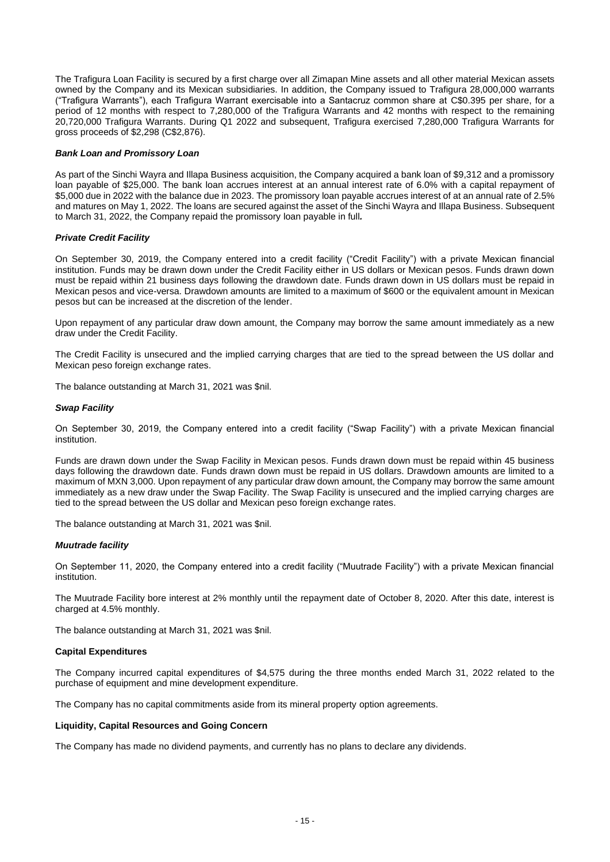The Trafigura Loan Facility is secured by a first charge over all Zimapan Mine assets and all other material Mexican assets owned by the Company and its Mexican subsidiaries. In addition, the Company issued to Trafigura 28,000,000 warrants ("Trafigura Warrants"), each Trafigura Warrant exercisable into a Santacruz common share at C\$0.395 per share, for a period of 12 months with respect to 7,280,000 of the Trafigura Warrants and 42 months with respect to the remaining 20,720,000 Trafigura Warrants. During Q1 2022 and subsequent, Trafigura exercised 7,280,000 Trafigura Warrants for gross proceeds of \$2,298 (C\$2,876).

### *Bank Loan and Promissory Loan*

As part of the Sinchi Wayra and Illapa Business acquisition, the Company acquired a bank loan of \$9,312 and a promissory loan payable of \$25,000. The bank loan accrues interest at an annual interest rate of 6.0% with a capital repayment of \$5,000 due in 2022 with the balance due in 2023. The promissory loan payable accrues interest of at an annual rate of 2.5% and matures on May 1, 2022. The loans are secured against the asset of the Sinchi Wayra and Illapa Business. Subsequent to March 31, 2022, the Company repaid the promissory loan payable in full*.*

## *Private Credit Facility*

On September 30, 2019, the Company entered into a credit facility ("Credit Facility") with a private Mexican financial institution. Funds may be drawn down under the Credit Facility either in US dollars or Mexican pesos. Funds drawn down must be repaid within 21 business days following the drawdown date. Funds drawn down in US dollars must be repaid in Mexican pesos and vice-versa. Drawdown amounts are limited to a maximum of \$600 or the equivalent amount in Mexican pesos but can be increased at the discretion of the lender.

Upon repayment of any particular draw down amount, the Company may borrow the same amount immediately as a new draw under the Credit Facility.

The Credit Facility is unsecured and the implied carrying charges that are tied to the spread between the US dollar and Mexican peso foreign exchange rates.

The balance outstanding at March 31, 2021 was \$nil.

## *Swap Facility*

On September 30, 2019, the Company entered into a credit facility ("Swap Facility") with a private Mexican financial institution.

Funds are drawn down under the Swap Facility in Mexican pesos. Funds drawn down must be repaid within 45 business days following the drawdown date. Funds drawn down must be repaid in US dollars. Drawdown amounts are limited to a maximum of MXN 3,000. Upon repayment of any particular draw down amount, the Company may borrow the same amount immediately as a new draw under the Swap Facility. The Swap Facility is unsecured and the implied carrying charges are tied to the spread between the US dollar and Mexican peso foreign exchange rates.

The balance outstanding at March 31, 2021 was \$nil.

### *Muutrade facility*

On September 11, 2020, the Company entered into a credit facility ("Muutrade Facility") with a private Mexican financial institution.

The Muutrade Facility bore interest at 2% monthly until the repayment date of October 8, 2020. After this date, interest is charged at 4.5% monthly.

The balance outstanding at March 31, 2021 was \$nil.

### **Capital Expenditures**

The Company incurred capital expenditures of \$4,575 during the three months ended March 31, 2022 related to the purchase of equipment and mine development expenditure.

The Company has no capital commitments aside from its mineral property option agreements.

### **Liquidity, Capital Resources and Going Concern**

The Company has made no dividend payments, and currently has no plans to declare any dividends.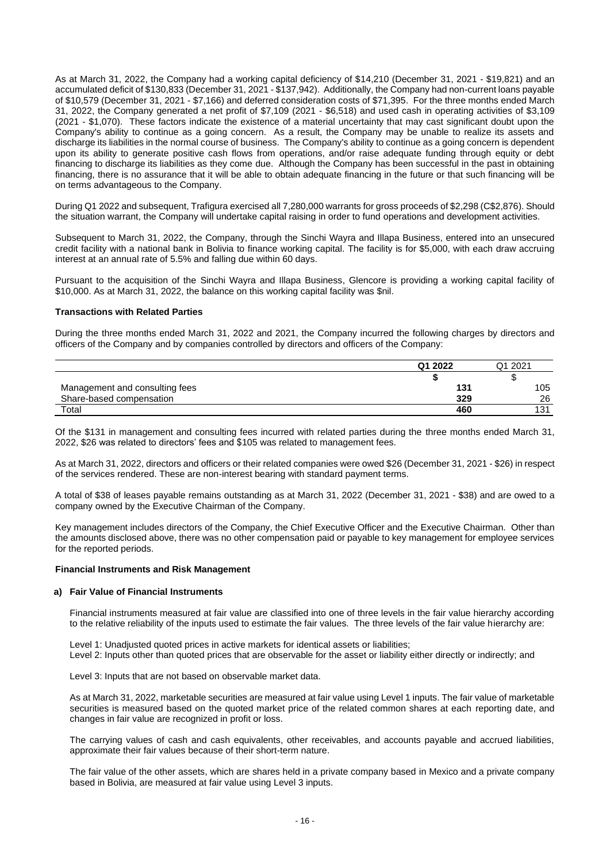As at March 31, 2022, the Company had a working capital deficiency of \$14,210 (December 31, 2021 - \$19,821) and an accumulated deficit of \$130,833 (December 31, 2021 - \$137,942). Additionally, the Company had non-current loans payable of \$10,579 (December 31, 2021 - \$7,166) and deferred consideration costs of \$71,395. For the three months ended March 31, 2022, the Company generated a net profit of \$7,109 (2021 - \$6,518) and used cash in operating activities of \$3,109 (2021 - \$1,070). These factors indicate the existence of a material uncertainty that may cast significant doubt upon the Company's ability to continue as a going concern. As a result, the Company may be unable to realize its assets and discharge its liabilities in the normal course of business. The Company's ability to continue as a going concern is dependent upon its ability to generate positive cash flows from operations, and/or raise adequate funding through equity or debt financing to discharge its liabilities as they come due. Although the Company has been successful in the past in obtaining financing, there is no assurance that it will be able to obtain adequate financing in the future or that such financing will be on terms advantageous to the Company.

During Q1 2022 and subsequent, Trafigura exercised all 7,280,000 warrants for gross proceeds of \$2,298 (C\$2,876). Should the situation warrant, the Company will undertake capital raising in order to fund operations and development activities.

Subsequent to March 31, 2022, the Company, through the Sinchi Wayra and Illapa Business, entered into an unsecured credit facility with a national bank in Bolivia to finance working capital. The facility is for \$5,000, with each draw accruing interest at an annual rate of 5.5% and falling due within 60 days.

Pursuant to the acquisition of the Sinchi Wayra and Illapa Business, Glencore is providing a working capital facility of \$10,000. As at March 31, 2022, the balance on this working capital facility was \$nil.

### **Transactions with Related Parties**

During the three months ended March 31, 2022 and 2021, the Company incurred the following charges by directors and officers of the Company and by companies controlled by directors and officers of the Company:

|                                | Q1 2022 | 2021<br>า1 |
|--------------------------------|---------|------------|
|                                |         |            |
| Management and consulting fees | 131     | 105        |
| Share-based compensation       | 329     | 26         |
| Total                          | 460     | 121        |

Of the \$131 in management and consulting fees incurred with related parties during the three months ended March 31, 2022, \$26 was related to directors' fees and \$105 was related to management fees.

As at March 31, 2022, directors and officers or their related companies were owed \$26 (December 31, 2021 - \$26) in respect of the services rendered. These are non-interest bearing with standard payment terms.

A total of \$38 of leases payable remains outstanding as at March 31, 2022 (December 31, 2021 - \$38) and are owed to a company owned by the Executive Chairman of the Company.

Key management includes directors of the Company, the Chief Executive Officer and the Executive Chairman. Other than the amounts disclosed above, there was no other compensation paid or payable to key management for employee services for the reported periods.

#### **Financial Instruments and Risk Management**

#### **a) Fair Value of Financial Instruments**

Financial instruments measured at fair value are classified into one of three levels in the fair value hierarchy according to the relative reliability of the inputs used to estimate the fair values. The three levels of the fair value hierarchy are:

Level 1: Unadjusted quoted prices in active markets for identical assets or liabilities;

Level 2: Inputs other than quoted prices that are observable for the asset or liability either directly or indirectly; and

Level 3: Inputs that are not based on observable market data.

As at March 31, 2022, marketable securities are measured at fair value using Level 1 inputs. The fair value of marketable securities is measured based on the quoted market price of the related common shares at each reporting date, and changes in fair value are recognized in profit or loss.

The carrying values of cash and cash equivalents, other receivables, and accounts payable and accrued liabilities, approximate their fair values because of their short-term nature.

The fair value of the other assets, which are shares held in a private company based in Mexico and a private company based in Bolivia, are measured at fair value using Level 3 inputs.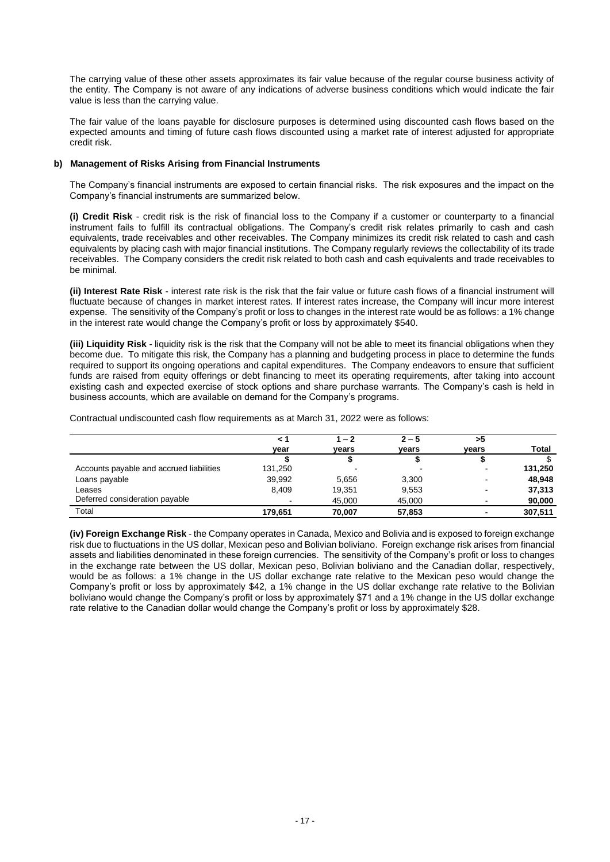The carrying value of these other assets approximates its fair value because of the regular course business activity of the entity. The Company is not aware of any indications of adverse business conditions which would indicate the fair value is less than the carrying value.

The fair value of the loans payable for disclosure purposes is determined using discounted cash flows based on the expected amounts and timing of future cash flows discounted using a market rate of interest adjusted for appropriate credit risk.

# **b) Management of Risks Arising from Financial Instruments**

The Company's financial instruments are exposed to certain financial risks. The risk exposures and the impact on the Company's financial instruments are summarized below.

**(i) Credit Risk** - credit risk is the risk of financial loss to the Company if a customer or counterparty to a financial instrument fails to fulfill its contractual obligations. The Company's credit risk relates primarily to cash and cash equivalents, trade receivables and other receivables. The Company minimizes its credit risk related to cash and cash equivalents by placing cash with major financial institutions. The Company regularly reviews the collectability of its trade receivables. The Company considers the credit risk related to both cash and cash equivalents and trade receivables to be minimal.

**(ii) Interest Rate Risk** - interest rate risk is the risk that the fair value or future cash flows of a financial instrument will fluctuate because of changes in market interest rates. If interest rates increase, the Company will incur more interest expense. The sensitivity of the Company's profit or loss to changes in the interest rate would be as follows: a 1% change in the interest rate would change the Company's profit or loss by approximately \$540.

**(iii) Liquidity Risk** - liquidity risk is the risk that the Company will not be able to meet its financial obligations when they become due. To mitigate this risk, the Company has a planning and budgeting process in place to determine the funds required to support its ongoing operations and capital expenditures. The Company endeavors to ensure that sufficient funds are raised from equity offerings or debt financing to meet its operating requirements, after taking into account existing cash and expected exercise of stock options and share purchase warrants. The Company's cash is held in business accounts, which are available on demand for the Company's programs.

Contractual undiscounted cash flow requirements as at March 31, 2022 were as follows:

|                                          | $\leq$ 1 | $1 - 2$ | $2 - 5$ | >5    |              |
|------------------------------------------|----------|---------|---------|-------|--------------|
|                                          | vear     | vears   | vears   | vears | <b>Total</b> |
|                                          |          |         |         |       |              |
| Accounts payable and accrued liabilities | 131,250  |         |         |       | 131,250      |
| Loans payable                            | 39,992   | 5.656   | 3,300   | ۰     | 48,948       |
| Leases                                   | 8.409    | 19.351  | 9,553   | -     | 37,313       |
| Deferred consideration payable           |          | 45,000  | 45,000  |       | 90,000       |
| Total                                    | 179.651  | 70,007  | 57,853  |       | 307,511      |

**(iv) Foreign Exchange Risk** - the Company operates in Canada, Mexico and Bolivia and is exposed to foreign exchange risk due to fluctuations in the US dollar, Mexican peso and Bolivian boliviano. Foreign exchange risk arises from financial assets and liabilities denominated in these foreign currencies. The sensitivity of the Company's profit or loss to changes in the exchange rate between the US dollar, Mexican peso, Bolivian boliviano and the Canadian dollar, respectively, would be as follows: a 1% change in the US dollar exchange rate relative to the Mexican peso would change the Company's profit or loss by approximately \$42, a 1% change in the US dollar exchange rate relative to the Bolivian boliviano would change the Company's profit or loss by approximately \$71 and a 1% change in the US dollar exchange rate relative to the Canadian dollar would change the Company's profit or loss by approximately \$28.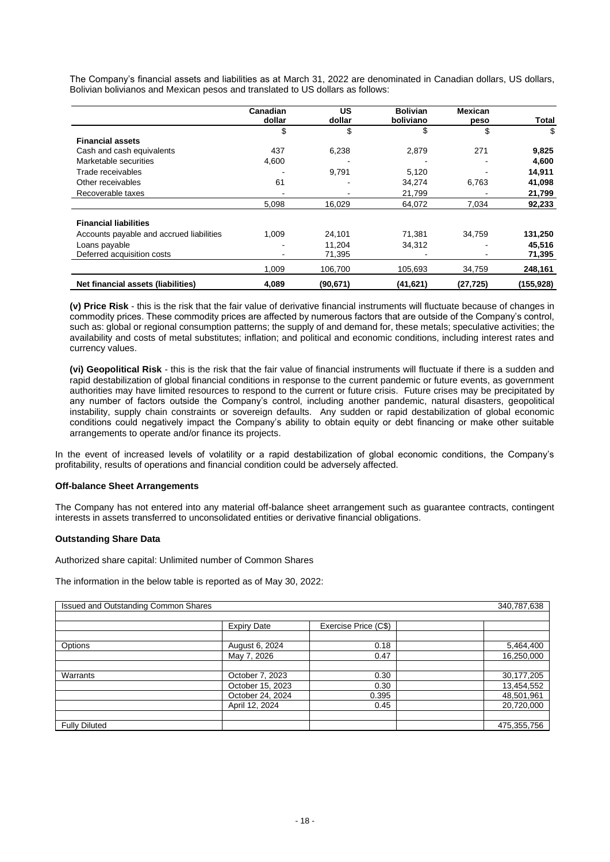The Company's financial assets and liabilities as at March 31, 2022 are denominated in Canadian dollars, US dollars, Bolivian bolivianos and Mexican pesos and translated to US dollars as follows:

|                                          | Canadian | US        | <b>Bolivian</b> | <b>Mexican</b> |            |
|------------------------------------------|----------|-----------|-----------------|----------------|------------|
|                                          | dollar   | dollar    | boliviano       | peso           | Total      |
|                                          | \$       | \$        | \$              | \$             | \$         |
| <b>Financial assets</b>                  |          |           |                 |                |            |
| Cash and cash equivalents                | 437      | 6,238     | 2,879           | 271            | 9,825      |
| Marketable securities                    | 4,600    |           |                 |                | 4,600      |
| Trade receivables                        |          | 9,791     | 5,120           |                | 14,911     |
| Other receivables                        | 61       |           | 34,274          | 6,763          | 41,098     |
| Recoverable taxes                        |          |           | 21,799          |                | 21,799     |
|                                          | 5,098    | 16,029    | 64,072          | 7,034          | 92,233     |
| <b>Financial liabilities</b>             |          |           |                 |                |            |
| Accounts payable and accrued liabilities | 1.009    | 24.101    | 71.381          | 34.759         | 131,250    |
| Loans payable                            |          | 11.204    | 34,312          |                | 45,516     |
| Deferred acquisition costs               |          | 71,395    |                 |                | 71,395     |
|                                          | 1.009    | 106,700   | 105,693         | 34,759         | 248,161    |
| Net financial assets (liabilities)       | 4,089    | (90, 671) | (41, 621)       | (27, 725)      | (155, 928) |

**(v) Price Risk** - this is the risk that the fair value of derivative financial instruments will fluctuate because of changes in commodity prices. These commodity prices are affected by numerous factors that are outside of the Company's control, such as: global or regional consumption patterns; the supply of and demand for, these metals; speculative activities; the availability and costs of metal substitutes; inflation; and political and economic conditions, including interest rates and currency values.

**(vi) Geopolitical Risk** - this is the risk that the fair value of financial instruments will fluctuate if there is a sudden and rapid destabilization of global financial conditions in response to the current pandemic or future events, as government authorities may have limited resources to respond to the current or future crisis. Future crises may be precipitated by any number of factors outside the Company's control, including another pandemic, natural disasters, geopolitical instability, supply chain constraints or sovereign defaults. Any sudden or rapid destabilization of global economic conditions could negatively impact the Company's ability to obtain equity or debt financing or make other suitable arrangements to operate and/or finance its projects.

In the event of increased levels of volatility or a rapid destabilization of global economic conditions, the Company's profitability, results of operations and financial condition could be adversely affected.

### **Off-balance Sheet Arrangements**

The Company has not entered into any material off-balance sheet arrangement such as guarantee contracts, contingent interests in assets transferred to unconsolidated entities or derivative financial obligations.

### **Outstanding Share Data**

Authorized share capital: Unlimited number of Common Shares

The information in the below table is reported as of May 30, 2022:

| <b>Issued and Outstanding Common Shares</b> |                    |                      | 340,787,638 |
|---------------------------------------------|--------------------|----------------------|-------------|
|                                             | <b>Expiry Date</b> | Exercise Price (C\$) |             |
| Options                                     | August 6, 2024     | 0.18                 | 5,464,400   |
|                                             | May 7, 2026        | 0.47                 | 16,250,000  |
|                                             |                    |                      |             |
| Warrants                                    | October 7, 2023    | 0.30                 | 30,177,205  |
|                                             | October 15, 2023   | 0.30                 | 13,454,552  |
|                                             | October 24, 2024   | 0.395                | 48,501,961  |
|                                             | April 12, 2024     | 0.45                 | 20,720,000  |
|                                             |                    |                      |             |
| <b>Fully Diluted</b>                        |                    |                      | 475,355,756 |